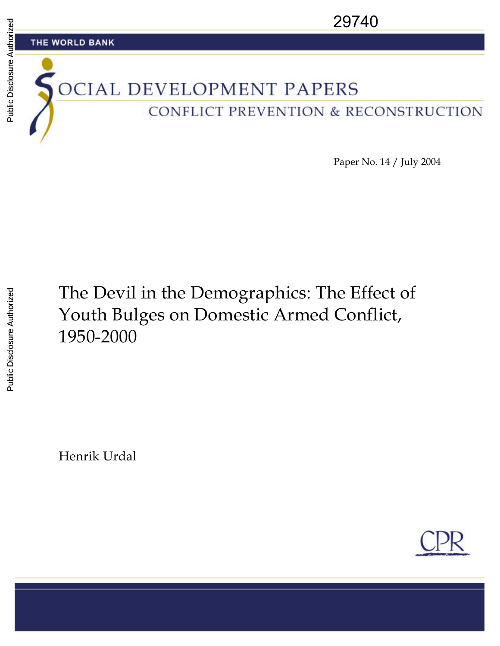

Paper No. 14 / July 2004

# The Devil in the Demographics: The Effect of Youth Bulges on Domestic Armed Conflict, 1950-2000

Henrik Urdal

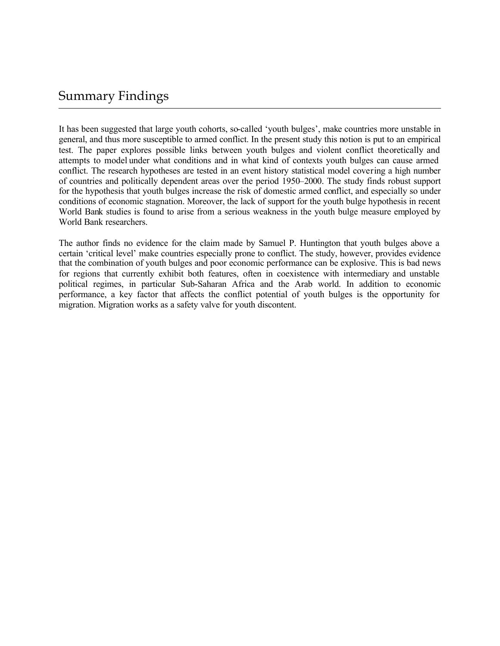### Summary Findings

It has been suggested that large youth cohorts, so-called 'youth bulges', make countries more unstable in general, and thus more susceptible to armed conflict. In the present study this notion is put to an empirical test. The paper explores possible links between youth bulges and violent conflict theoretically and attempts to model under what conditions and in what kind of contexts youth bulges can cause armed conflict. The research hypotheses are tested in an event history statistical model covering a high number of countries and politically dependent areas over the period 1950–2000. The study finds robust support for the hypothesis that youth bulges increase the risk of domestic armed conflict, and especially so under conditions of economic stagnation. Moreover, the lack of support for the youth bulge hypothesis in recent World Bank studies is found to arise from a serious weakness in the youth bulge measure employed by World Bank researchers.

The author finds no evidence for the claim made by Samuel P. Huntington that youth bulges above a certain 'critical level' make countries especially prone to conflict. The study, however, provides evidence that the combination of youth bulges and poor economic performance can be explosive. This is bad news for regions that currently exhibit both features, often in coexistence with intermediary and unstable political regimes, in particular Sub-Saharan Africa and the Arab world. In addition to economic performance, a key factor that affects the conflict potential of youth bulges is the opportunity for migration. Migration works as a safety valve for youth discontent.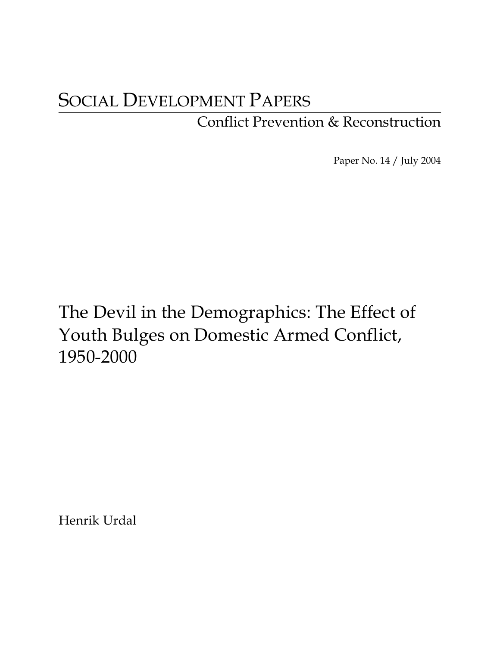# SOCIAL DEVELOPMENT PAPERS

## Conflict Prevention & Reconstruction

Paper No. 14 / July 2004

The Devil in the Demographics: The Effect of Youth Bulges on Domestic Armed Conflict, 1950-2000

Henrik Urdal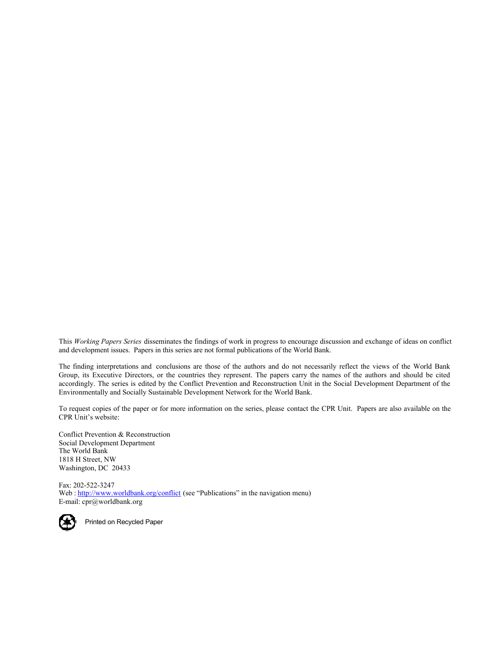This *Working Papers Series* disseminates the findings of work in progress to encourage discussion and exchange of ideas on conflict and development issues. Papers in this series are not formal publications of the World Bank.

The finding interpretations and conclusions are those of the authors and do not necessarily reflect the views of the World Bank Group, its Executive Directors, or the countries they represent. The papers carry the names of the authors and should be cited accordingly. The series is edited by the Conflict Prevention and Reconstruction Unit in the Social Development Department of the Environmentally and Socially Sustainable Development Network for the World Bank.

To request copies of the paper or for more information on the series, please contact the CPR Unit. Papers are also available on the CPR Unit's website:

Conflict Prevention & Reconstruction Social Development Department The World Bank 1818 H Street, NW Washington, DC 20433

Fax: 202-522-3247 Web : http://www.worldbank.org/conflict (see "Publications" in the navigation menu) E-mail: cpr@worldbank.org



Printed on Recycled Paper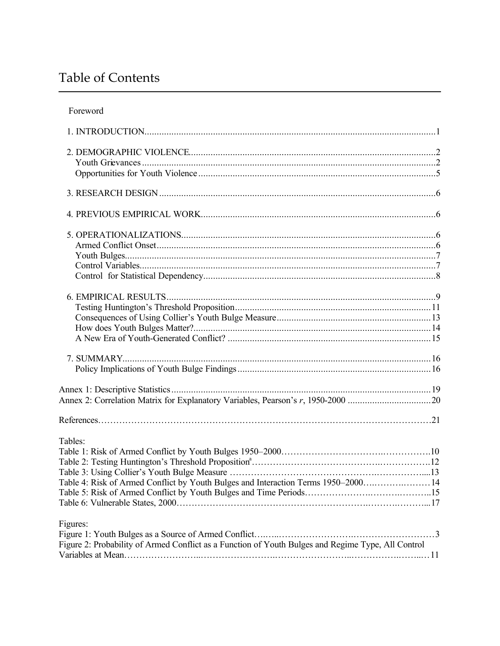## Table of Contents

| Tables:                                                                                            |  |
|----------------------------------------------------------------------------------------------------|--|
|                                                                                                    |  |
|                                                                                                    |  |
| Table 4: Risk of Armed Conflict by Youth Bulges and Interaction Terms 1950-2000 14                 |  |
|                                                                                                    |  |
|                                                                                                    |  |
|                                                                                                    |  |
| Figures:                                                                                           |  |
|                                                                                                    |  |
| Figure 2: Probability of Armed Conflict as a Function of Youth Bulges and Regime Type, All Control |  |
|                                                                                                    |  |
|                                                                                                    |  |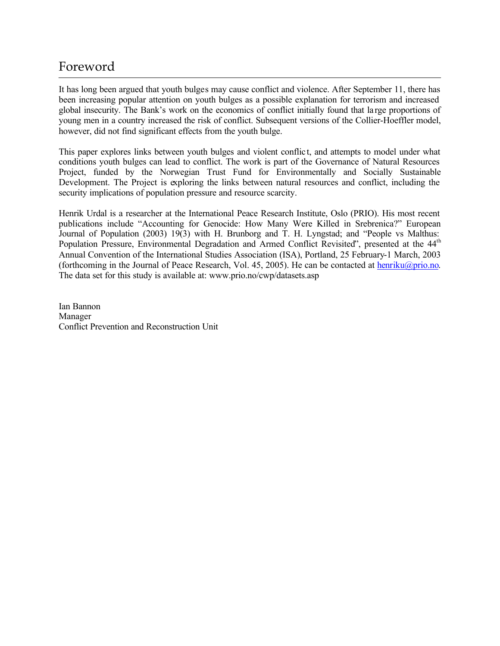## Foreword

It has long been argued that youth bulges may cause conflict and violence. After September 11, there has been increasing popular attention on youth bulges as a possible explanation for terrorism and increased global insecurity. The Bank's work on the economics of conflict initially found that la rge proportions of young men in a country increased the risk of conflict. Subsequent versions of the Collier-Hoeffler model, however, did not find significant effects from the youth bulge.

This paper explores links between youth bulges and violent conflic t, and attempts to model under what conditions youth bulges can lead to conflict. The work is part of the Governance of Natural Resources Project, funded by the Norwegian Trust Fund for Environmentally and Socially Sustainable Development. The Project is exploring the links between natural resources and conflict, including the security implications of population pressure and resource scarcity.

Henrik Urdal is a researcher at the International Peace Research Institute, Oslo (PRIO). His most recent publications include "Accounting for Genocide: How Many Were Killed in Srebrenica?" European Journal of Population (2003) 19(3) with H. Brunborg and T. H. Lyngstad; and "People vs Malthus: Population Pressure, Environmental Degradation and Armed Conflict Revisited", presented at the 44<sup>th</sup> Annual Convention of the International Studies Association (ISA), Portland, 25 February-1 March, 2003 (forthcoming in the Journal of Peace Research, Vol. 45, 2005). He can be contacted at henriku@prio.no. The data set for this study is available at: www.prio.no/cwp/datasets.asp

Ian Bannon Manager Conflict Prevention and Reconstruction Unit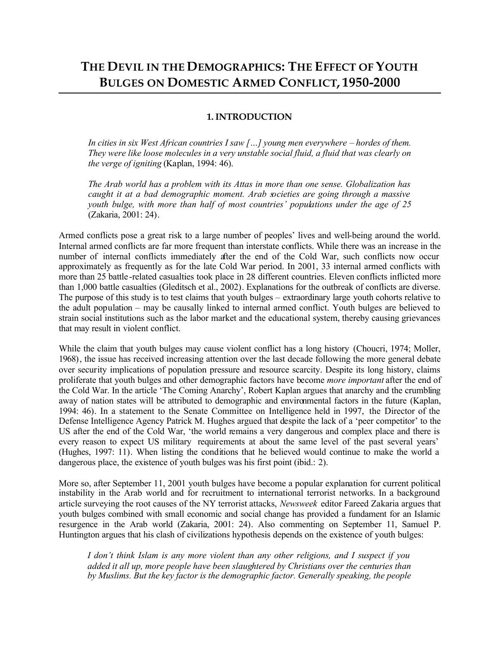### **THE DEVIL IN THE DEMOGRAPHICS: THE EFFECT OF YOUTH BULGES ON DOMESTIC ARMED CONFLICT, 1950-2000**

#### **1. INTRODUCTION**

*In cities in six West African countries I saw […] young men everywhere – hordes of them. They were like loose molecules in a very unstable social fluid, a fluid that was clearly on the verge of igniting* (Kaplan, 1994: 46).

*The Arab world has a problem with its Attas in more than one sense. Globalization has caught it at a bad demographic moment. Arab societies are going through a massive youth bulge, with more than half of most countries' populations under the age of 25* (Zakaria, 2001: 24).

Armed conflicts pose a great risk to a large number of peoples' lives and well-being around the world. Internal armed conflicts are far more frequent than interstate conflicts. While there was an increase in the number of internal conflicts immediately after the end of the Cold War, such conflicts now occur approximately as frequently as for the late Cold War period. In 2001, 33 internal armed conflicts with more than 25 battle -related casualties took place in 28 different countries. Eleven conflicts inflicted more than 1,000 battle casualties (Gleditsch et al., 2002). Explanations for the outbreak of conflicts are diverse. The purpose of this study is to test claims that youth bulges – extraordinary large youth cohorts relative to the adult population – may be causally linked to internal armed conflict. Youth bulges are believed to strain social institutions such as the labor market and the educational system, thereby causing grievances that may result in violent conflict.

While the claim that youth bulges may cause violent conflict has a long history (Choucri, 1974; Moller, 1968), the issue has received increasing attention over the last decade following the more general debate over security implications of population pressure and resource scarcity. Despite its long history, claims proliferate that youth bulges and other demographic factors have become *more important* after the end of the Cold War. In the article 'The Coming Anarchy', Robert Kaplan argues that anarchy and the crumbling away of nation states will be attributed to demographic and environmental factors in the future (Kaplan, 1994: 46). In a statement to the Senate Committee on Intelligence held in 1997, the Director of the Defense Intelligence Agency Patrick M. Hughes argued that despite the lack of a 'peer competitor' to the US after the end of the Cold War, 'the world remains a very dangerous and complex place and there is every reason to expect US military requirements at about the same level of the past several years' (Hughes, 1997: 11). When listing the conditions that he believed would continue to make the world a dangerous place, the existence of youth bulges was his first point (ibid.: 2).

More so, after September 11, 2001 youth bulges have become a popular explanation for current political instability in the Arab world and for recruitment to international terrorist networks. In a background article surveying the root causes of the NY terrorist attacks, *Newsweek* editor Fareed Zakaria argues that youth bulges combined with small economic and social change has provided a fundament for an Islamic resurgence in the Arab world (Zakaria, 2001: 24). Also commenting on September 11, Samuel P. Huntington argues that his clash of civilizations hypothesis depends on the existence of youth bulges:

*I don't think Islam is any more violent than any other religions, and I suspect if you added it all up, more people have been slaughtered by Christians over the centuries than by Muslims. But the key factor is the demographic factor. Generally speaking, the people*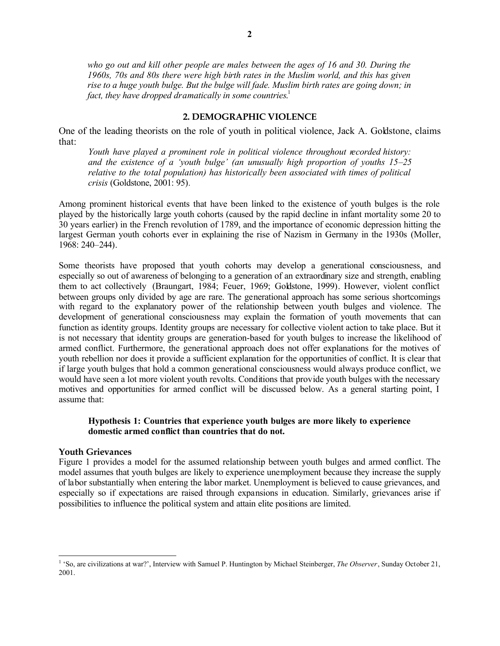*who go out and kill other people are males between the ages of 16 and 30. During the 1960s, 70s and 80s there were high birth rates in the Muslim world, and this has given rise to a huge youth bulge. But the bulge will fade. Muslim birth rates are going down; in fact, they have dropped dramatically in some countries*. 1

#### **2. DEMOGRAPHIC VIOLENCE**

One of the leading theorists on the role of youth in political violence, Jack A. Goldstone, claims that:

*Youth have played a prominent role in political violence throughout recorded history: and the existence of a 'youth bulge' (an unusually high proportion of youths 15–25 relative to the total population) has historically been associated with times of political crisis* (Goldstone, 2001: 95)*.*

Among prominent historical events that have been linked to the existence of youth bulges is the role played by the historically large youth cohorts (caused by the rapid decline in infant mortality some 20 to 30 years earlier) in the French revolution of 1789, and the importance of economic depression hitting the largest German youth cohorts ever in explaining the rise of Nazism in Germany in the 1930s (Moller, 1968: 240–244).

Some theorists have proposed that youth cohorts may develop a generational consciousness, and especially so out of awareness of belonging to a generation of an extraordinary size and strength, enabling them to act collectively (Braungart, 1984; Feuer, 1969; Goldstone, 1999). However, violent conflict between groups only divided by age are rare. The generational approach has some serious shortcomings with regard to the explanatory power of the relationship between youth bulges and violence. The development of generational consciousness may explain the formation of youth movements that can function as identity groups. Identity groups are necessary for collective violent action to take place. But it is not necessary that identity groups are generation-based for youth bulges to increase the likelihood of armed conflict. Furthermore, the generational approach does not offer explanations for the motives of youth rebellion nor does it provide a sufficient explanation for the opportunities of conflict. It is clear that if large youth bulges that hold a common generational consciousness would always produce conflict, we would have seen a lot more violent youth revolts. Conditions that provide youth bulges with the necessary motives and opportunities for armed conflict will be discussed below. As a general starting point, I assume that:

#### **Hypothesis 1: Countries that experience youth bulges are more likely to experience domestic armed conflict than countries that do not.**

#### **Youth Grievances**

 $\overline{a}$ 

Figure 1 provides a model for the assumed relationship between youth bulges and armed conflict. The model assumes that youth bulges are likely to experience unemployment because they increase the supply of labor substantially when entering the labor market. Unemployment is believed to cause grievances, and especially so if expectations are raised through expansions in education. Similarly, grievances arise if possibilities to influence the political system and attain elite positions are limited.

<sup>&</sup>lt;sup>1</sup> 'So, are civilizations at war?', Interview with Samuel P. Huntington by Michael Steinberger, *The Observer*, Sunday October 21, 2001.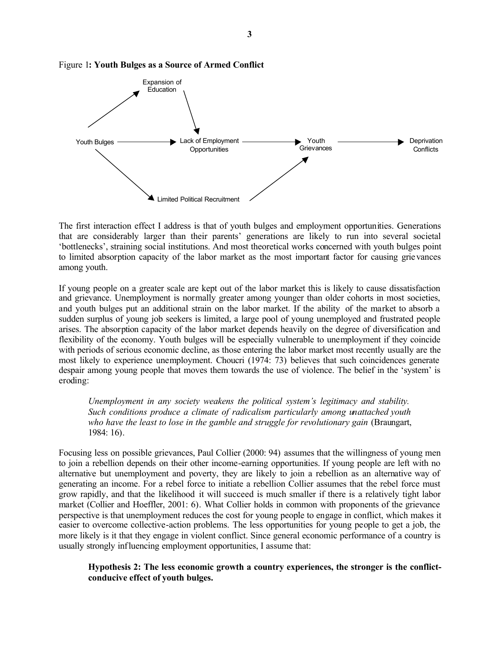

Figure 1**: Youth Bulges as a Source of Armed Conflict**

The first interaction effect I address is that of youth bulges and employment opportunities. Generations that are considerably larger than their parents' generations are likely to run into several societal 'bottlenecks', straining social institutions. And most theoretical works concerned with youth bulges point to limited absorption capacity of the labor market as the most important factor for causing grievances among youth.

If young people on a greater scale are kept out of the labor market this is likely to cause dissatisfaction and grievance. Unemployment is normally greater among younger than older cohorts in most societies, and youth bulges put an additional strain on the labor market. If the ability of the market to absorb a sudden surplus of young job seekers is limited, a large pool of young unemployed and frustrated people arises. The absorption capacity of the labor market depends heavily on the degree of diversification and flexibility of the economy. Youth bulges will be especially vulnerable to unemployment if they coincide with periods of serious economic decline, as those entering the labor market most recently usually are the most likely to experience unemployment. Choucri (1974: 73) believes that such coincidences generate despair among young people that moves them towards the use of violence. The belief in the 'system' is eroding:

*Unemployment in any society weakens the political system's legitimacy and stability. Such conditions produce a climate of radicalism particularly among unattached youth who have the least to lose in the gamble and struggle for revolutionary gain* (Braungart, 1984: 16).

Focusing less on possible grievances, Paul Collier (2000: 94) assumes that the willingness of young men to join a rebellion depends on their other income-earning opportunities. If young people are left with no alternative but unemployment and poverty, they are likely to join a rebellion as an alternative way of generating an income. For a rebel force to initiate a rebellion Collier assumes that the rebel force must grow rapidly, and that the likelihood it will succeed is much smaller if there is a relatively tight labor market (Collier and Hoeffler, 2001: 6). What Collier holds in common with proponents of the grievance perspective is that unemployment reduces the cost for young people to engage in conflict, which makes it easier to overcome collective-action problems. The less opportunities for young people to get a job, the more likely is it that they engage in violent conflict. Since general economic performance of a country is usually strongly influencing employment opportunities, I assume that:

**Hypothesis 2: The less economic growth a country experiences, the stronger is the conflictconducive effect of youth bulges.**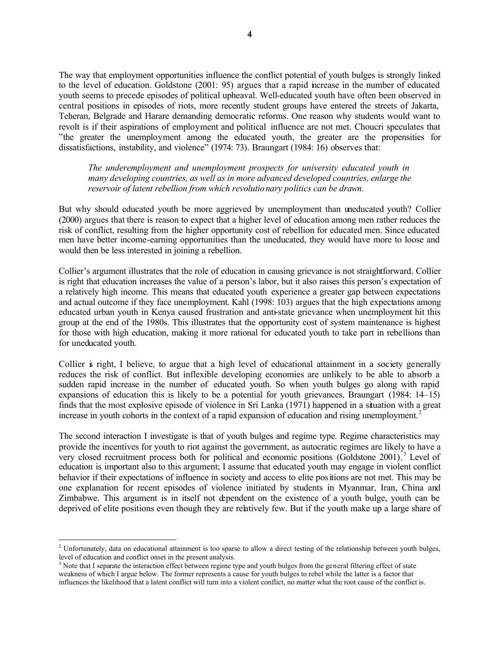The way that employment opportunities influence the conflict potential of youth bulges is strongly linked to the level of education. Goldstone (2001: 95) argues that a rapid increase in the number of educated youth seems to precede episodes of political upheaval. Well-educated youth have often been observed in central positions in episodes of riots, more recently student groups have entered the streets of Jakarta, Teheran, Belgrade and Harare demanding democratic reforms. One reason why students would want to revolt is if their aspirations of employment and political influence are not met. Choucri speculates that "the greater the unemployment among the educated youth, the greater are the propensities for dissatisfactions, instability, and violence" (1974: 73). Braungart (1984: 16) observes that:

*The underemployment and unemployment prospects for university educated youth in many developing countries, as well as in more advanced developed countries, enlarge the reservoir of latent rebellion from which revolutionary politics can be drawn.*

But why should educated youth be more aggrieved by unemployment than uneducated youth? Collier (2000) argues that there is reason to expect that a higher level of education among men rather reduces the risk of conflict, resulting from the higher opportunity cost of rebellion for educated men. Since educated men have better income-earning opportunities than the uneducated, they would have more to loose and would then be less interested in joining a rebellion.

Collier's argument illustrates that the role of education in causing grievance is not straightforward. Collier is right that education increases the value of a person's labor, but it also raises this person's expectation of a relatively high income. This means that educated youth experience a greater gap between expectations and actual outcome if they face unemployment. Kahl (1998: 103) argues that the high expectations among educated urban youth in Kenya caused frustration and anti-state grievance when unemployment hit this group at the end of the 1980s. This illustrates that the opportunity cost of system maintenance is highest for those with high education, making it more rational for educated youth to take part in rebellions than for uneducated youth.

Collier is right, I believe, to argue that a high level of educational attainment in a society generally reduces the risk of conflict. But inflexible developing economies are unlikely to be able to absorb a sudden rapid increase in the number of educated youth. So when youth bulges go along with rapid expansions of education this is likely to be a potential for youth grievances. Braungart (1984: 14–15) finds that the most explosive episode of violence in Sri Lanka (1971) happened in a situation with a great increase in youth cohorts in the context of a rapid expansion of education and rising unemployment.<sup>2</sup>

The second interaction I investigate is that of youth bulges and regime type. Regime characteristics may provide the incentives for youth to riot against the government, as autocratic regimes are likely to have a very closed recruitment process both for political and economic positions (Goldstone 2001).<sup>3</sup> Level of education is important also to this argument; I assume that educated youth may engage in violent conflict behavior if their expectations of influence in society and access to elite positions are not met. This may be one explanation for recent episodes of violence initiated by students in Myanmar, Iran, China and Zimbabwe. This argument is in itself not dependent on the existence of a youth bulge, youth can be deprived of elite positions even though they are relatively few. But if the youth make up a large share of

 $\overline{a}$ 

<sup>&</sup>lt;sup>2</sup> Unfortunately, data on educational attainment is too sparse to allow a direct testing of the relationship between youth bulges, level of education and conflict onset in the present analysis.

<sup>&</sup>lt;sup>3</sup> Note that I separate the interaction effect between regime type and youth bulges from the general filtering effect of state weakness of which I argue below. The former represents a cause for youth bulges to rebel while the latter is a factor that influences the likelihood that a latent conflict will turn into a violent conflict, no matter what the root cause of the conflict is.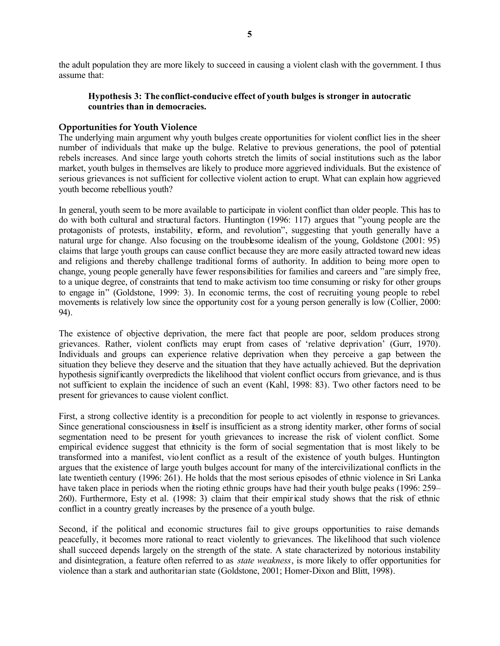the adult population they are more likely to succeed in causing a violent clash with the government. I thus assume that:

#### **Hypothesis 3: The conflict-conducive effect of youth bulges is stronger in autocratic countries than in democracies.**

#### **Opportunities for Youth Violence**

The underlying main argument why youth bulges create opportunities for violent conflict lies in the sheer number of individuals that make up the bulge. Relative to previous generations, the pool of potential rebels increases. And since large youth cohorts stretch the limits of social institutions such as the labor market, youth bulges in themselves are likely to produce more aggrieved individuals. But the existence of serious grievances is not sufficient for collective violent action to erupt. What can explain how aggrieved youth become rebellious youth?

In general, youth seem to be more available to participate in violent conflict than older people. This has to do with both cultural and structural factors. Huntington (1996: 117) argues that "young people are the protagonists of protests, instability, reform, and revolution", suggesting that youth generally have a natural urge for change. Also focusing on the troublesome idealism of the young, Goldstone (2001: 95) claims that large youth groups can cause conflict because they are more easily attracted toward new ideas and religions and thereby challenge traditional forms of authority. In addition to being more open to change, young people generally have fewer responsibilities for families and careers and "are simply free, to a unique degree, of constraints that tend to make activism too time consuming or risky for other groups to engage in" (Goldstone, 1999: 3). In economic terms, the cost of recruiting young people to rebel movements is relatively low since the opportunity cost for a young person generally is low (Collier, 2000: 94).

The existence of objective deprivation, the mere fact that people are poor, seldom produces strong grievances. Rather, violent conflicts may erupt from cases of 'relative deprivation' (Gurr, 1970). Individuals and groups can experience relative deprivation when they perceive a gap between the situation they believe they deserve and the situation that they have actually achieved. But the deprivation hypothesis significantly overpredicts the likelihood that violent conflict occurs from grievance, and is thus not sufficient to explain the incidence of such an event (Kahl, 1998: 83). Two other factors need to be present for grievances to cause violent conflict.

First, a strong collective identity is a precondition for people to act violently in response to grievances. Since generational consciousness in itself is insufficient as a strong identity marker, other forms of social segmentation need to be present for youth grievances to increase the risk of violent conflict. Some empirical evidence suggest that ethnicity is the form of social segmentation that is most likely to be transformed into a manifest, violent conflict as a result of the existence of youth bulges. Huntington argues that the existence of large youth bulges account for many of the intercivilizational conflicts in the late twentieth century (1996: 261). He holds that the most serious episodes of ethnic violence in Sri Lanka have taken place in periods when the rioting ethnic groups have had their youth bulge peaks (1996: 259– 260). Furthermore, Esty et al. (1998: 3) claim that their empirical study shows that the risk of ethnic conflict in a country greatly increases by the presence of a youth bulge.

Second, if the political and economic structures fail to give groups opportunities to raise demands peacefully, it becomes more rational to react violently to grievances. The likelihood that such violence shall succeed depends largely on the strength of the state. A state characterized by notorious instability and disintegration, a feature often referred to as *state weakness*, is more likely to offer opportunities for violence than a stark and authoritarian state (Goldstone, 2001; Homer-Dixon and Blitt, 1998).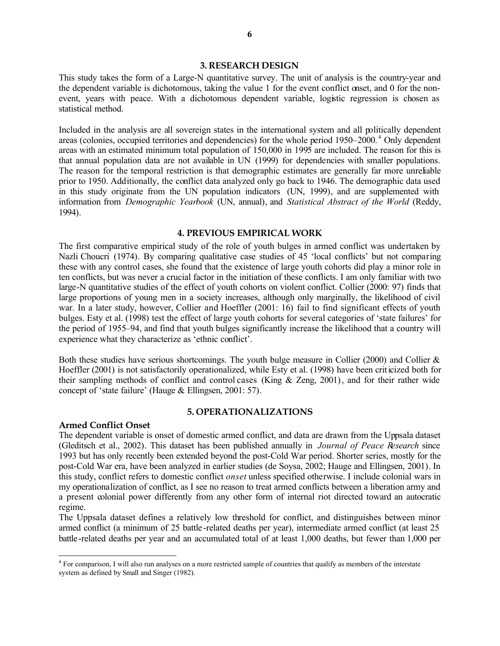#### **3. RESEARCH DESIGN**

This study takes the form of a Large-N quantitative survey. The unit of analysis is the country-year and the dependent variable is dichotomous, taking the value 1 for the event conflict onset, and 0 for the nonevent, years with peace. With a dichotomous dependent variable, logistic regression is chosen as statistical method.

Included in the analysis are all sovereign states in the international system and all politically dependent areas (colonies, occupied territories and dependencies) for the whole period 1950–2000.<sup>4</sup> Only dependent areas with an estimated minimum total population of 150,000 in 1995 are included. The reason for this is that annual population data are not available in UN (1999) for dependencies with smaller populations. The reason for the temporal restriction is that demographic estimates are generally far more unreliable prior to 1950. Additionally, the conflict data analyzed only go back to 1946. The demographic data used in this study originate from the UN population indicators (UN, 1999), and are supplemented with information from *Demographic Yearbook* (UN, annual), and *Statistical Abstract of the World* (Reddy, 1994).

#### **4. PREVIOUS EMPIRICAL WORK**

The first comparative empirical study of the role of youth bulges in armed conflict was undertaken by Nazli Choucri (1974). By comparing qualitative case studies of 45 'local conflicts' but not comparing these with any control cases, she found that the existence of large youth cohorts did play a minor role in ten conflicts, but was never a crucial factor in the initiation of these conflicts. I am only familiar with two large-N quantitative studies of the effect of youth cohorts on violent conflict. Collier (2000: 97) finds that large proportions of young men in a society increases, although only marginally, the likelihood of civil war. In a later study, however, Collier and Hoeffler (2001: 16) fail to find significant effects of youth bulges. Esty et al. (1998) test the effect of large youth cohorts for several categories of 'state failures' for the period of 1955–94, and find that youth bulges significantly increase the likelihood that a country will experience what they characterize as 'ethnic conflict'.

Both these studies have serious shortcomings. The youth bulge measure in Collier (2000) and Collier  $\&$ Hoeffler (2001) is not satisfactorily operationalized, while Esty et al. (1998) have been criticized both for their sampling methods of conflict and control cases (King & Zeng, 2001), and for their rather wide concept of 'state failure' (Hauge & Ellingsen, 2001: 57).

#### **5. OPERATIONALIZATIONS**

#### **Armed Conflict Onset**

 $\overline{a}$ 

The dependent variable is onset of domestic armed conflict, and data are drawn from the Uppsala dataset (Gleditsch et al., 2002). This dataset has been published annually in *Journal of Peace Research* since 1993 but has only recently been extended beyond the post-Cold War period. Shorter series, mostly for the post-Cold War era, have been analyzed in earlier studies (de Soysa, 2002; Hauge and Ellingsen, 2001). In this study, conflict refers to domestic conflict *onset* unless specified otherwise. I include colonial wars in my operationalization of conflict, as I see no reason to treat armed conflicts between a liberation army and a present colonial power differently from any other form of internal riot directed toward an autocratic regime.

The Uppsala dataset defines a relatively low threshold for conflict, and distinguishes between minor armed conflict (a minimum of 25 battle -related deaths per year), intermediate armed conflict (at least 25 battle-related deaths per year and an accumulated total of at least 1,000 deaths, but fewer than 1,000 per

<sup>&</sup>lt;sup>4</sup> For comparison, I will also run analyses on a more restricted sample of countries that qualify as members of the interstate system as defined by Small and Singer (1982).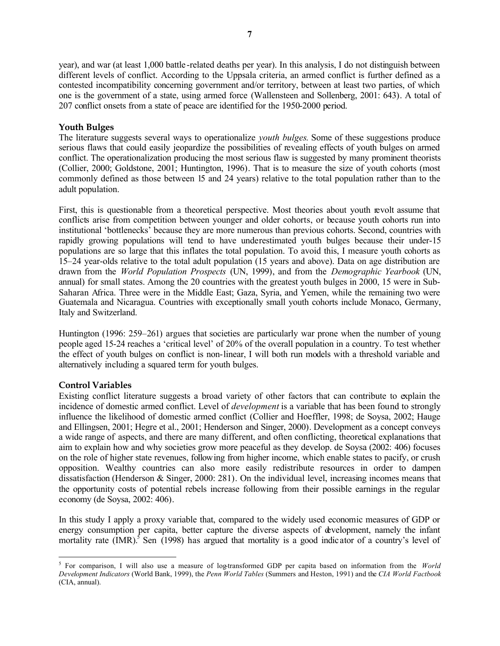year), and war (at least 1,000 battle -related deaths per year). In this analysis, I do not distinguish between different levels of conflict. According to the Uppsala criteria, an armed conflict is further defined as a contested incompatibility concerning government and/or territory, between at least two parties, of which one is the government of a state, using armed force (Wallensteen and Sollenberg, 2001: 643). A total of 207 conflict onsets from a state of peace are identified for the 1950-2000 period.

#### **Youth Bulges**

The literature suggests several ways to operationalize *youth bulges*. Some of these suggestions produce serious flaws that could easily jeopardize the possibilities of revealing effects of youth bulges on armed conflict. The operationalization producing the most serious flaw is suggested by many prominent theorists (Collier, 2000; Goldstone, 2001; Huntington, 1996). That is to measure the size of youth cohorts (most commonly defined as those between 15 and 24 years) relative to the total population rather than to the adult population.

First, this is questionable from a theoretical perspective. Most theories about youth revolt assume that conflicts arise from competition between younger and older cohorts, or because youth cohorts run into institutional 'bottlenecks' because they are more numerous than previous cohorts. Second, countries with rapidly growing populations will tend to have underestimated youth bulges because their under-15 populations are so large that this inflates the total population. To avoid this, I measure youth cohorts as 15–24 year-olds relative to the total adult population (15 years and above). Data on age distribution are drawn from the *World Population Prospects* (UN, 1999), and from the *Demographic Yearbook* (UN, annual) for small states. Among the 20 countries with the greatest youth bulges in 2000, 15 were in Sub-Saharan Africa. Three were in the Middle East; Gaza, Syria, and Yemen, while the remaining two were Guatemala and Nicaragua. Countries with exceptionally small youth cohorts include Monaco, Germany, Italy and Switzerland.

Huntington (1996: 259–261) argues that societies are particularly war prone when the number of young people aged 15-24 reaches a 'critical level' of 20% of the overall population in a country. To test whether the effect of youth bulges on conflict is non-linear, I will both run models with a threshold variable and alternatively including a squared term for youth bulges.

#### **Control Variables**

 $\overline{a}$ 

Existing conflict literature suggests a broad variety of other factors that can contribute to explain the incidence of domestic armed conflict. Level of *development* is a variable that has been found to strongly influence the likelihood of domestic armed conflict (Collier and Hoeffler, 1998; de Soysa, 2002; Hauge and Ellingsen, 2001; Hegre et al., 2001; Henderson and Singer, 2000). Development as a concept conveys a wide range of aspects, and there are many different, and often conflicting, theoretical explanations that aim to explain how and why societies grow more peaceful as they develop. de Soysa (2002: 406) focuses on the role of higher state revenues, following from higher income, which enable states to pacify, or crush opposition. Wealthy countries can also more easily redistribute resources in order to dampen dissatisfaction (Henderson & Singer, 2000: 281). On the individual level, increasing incomes means that the opportunity costs of potential rebels increase following from their possible earnings in the regular economy (de Soysa, 2002: 406).

In this study I apply a proxy variable that, compared to the widely used economic measures of GDP or energy consumption per capita, better capture the diverse aspects of development, namely the infant mortality rate  $(IMR)$ .<sup>5</sup> Sen (1998) has argued that mortality is a good indicator of a country's level of

<sup>&</sup>lt;sup>5</sup> For comparison, I will also use a measure of log-transformed GDP per capita based on information from the *World Development Indicators* (World Bank, 1999), the *Penn World Tables* (Summers and Heston, 1991) and the *CIA World Factbook*  (CIA, annual).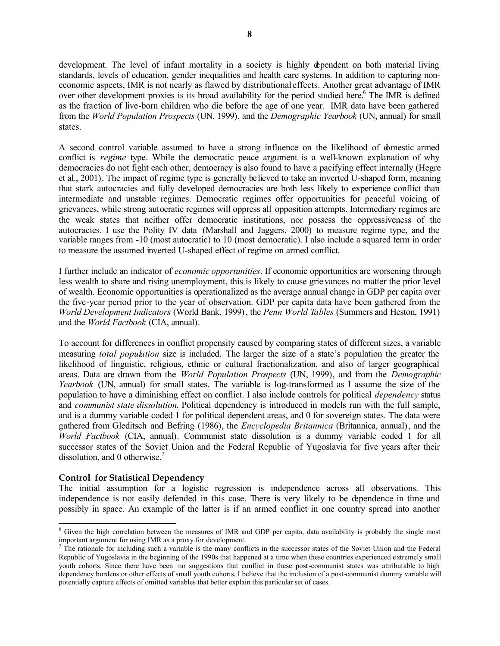development. The level of infant mortality in a society is highly dependent on both material living standards, levels of education, gender inequalities and health care systems. In addition to capturing noneconomic aspects, IMR is not nearly as flawed by distributional effects. Another great advantage of IMR over other development proxies is its broad availability for the period studied here.<sup>6</sup> The IMR is defined as the fraction of live-born children who die before the age of one year. IMR data have been gathered from the *World Population Prospects* (UN, 1999), and the *Demographic Yearbook* (UN, annual) for small states.

A second control variable assumed to have a strong influence on the likelihood of domestic armed conflict is *regime* type. While the democratic peace argument is a well-known explanation of why democracies do not fight each other, democracy is also found to have a pacifying effect internally (Hegre et al., 2001). The impact of regime type is generally believed to take an inverted U-shaped form, meaning that stark autocracies and fully developed democracies are both less likely to experience conflict than intermediate and unstable regimes. Democratic regimes offer opportunities for peaceful voicing of grievances, while strong autocratic regimes will oppress all opposition attempts. Intermediary regimes are the weak states that neither offer democratic institutions, nor possess the oppressiveness of the autocracies. I use the Polity IV data (Marshall and Jaggers, 2000) to measure regime type, and the variable ranges from -10 (most autocratic) to 10 (most democratic). I also include a squared term in order to measure the assumed inverted U-shaped effect of regime on armed conflict.

I further include an indicator of *economic opportunities*. If economic opportunities are worsening through less wealth to share and rising unemployment, this is likely to cause grie vances no matter the prior level of wealth. Economic opportunities is operationalized as the average annual change in GDP per capita over the five-year period prior to the year of observation. GDP per capita data have been gathered from the *World Development Indicators* (World Bank, 1999), the *Penn World Tables* (Summers and Heston, 1991) and the *World Factbook* (CIA, annual).

To account for differences in conflict propensity caused by comparing states of different sizes, a variable measuring *total population* size is included. The larger the size of a state's population the greater the likelihood of linguistic, religious, ethnic or cultural fractionalization, and also of larger geographical areas. Data are drawn from the *World Population Prospects* (UN, 1999), and from the *Demographic Yearbook* (UN, annual) for small states. The variable is log-transformed as I assume the size of the population to have a diminishing effect on conflict. I also include controls for political *dependency* status and *communist state dissolution*. Political dependency is introduced in models run with the full sample, and is a dummy variable coded 1 for political dependent areas, and 0 for sovereign states. The data were gathered from Gleditsch and Befring (1986), the *Encyclopedia Britannica* (Britannica, annual), and the *World Factbook* (CIA, annual). Communist state dissolution is a dummy variable coded 1 for all successor states of the Soviet Union and the Federal Republic of Yugoslavia for five years after their dissolution, and 0 otherwise.*<sup>7</sup>*

#### **Control for Statistical Dependency**

 $\overline{a}$ 

The initial assumption for a logistic regression is independence across all observations. This independence is not easily defended in this case. There is very likely to be dependence in time and possibly in space. An example of the latter is if an armed conflict in one country spread into another

<sup>&</sup>lt;sup>6</sup> Given the high correlation between the measures of IMR and GDP per capita, data availability is probably the single most important argument for using IMR as a proxy for development.

 $<sup>7</sup>$  The rationale for including such a variable is the many conflicts in the successor states of the Soviet Union and the Federal</sup> Republic of Yugoslavia in the beginning of the 1990s that happened at a time when these countries experienced extremely small youth cohorts. Since there have been no suggestions that conflict in these post-communist states was attributable to high dependency burdens or other effects of small youth cohorts, I believe that the inclusion of a post-communist dummy variable will potentially capture effects of omitted variables that better explain this particular set of cases.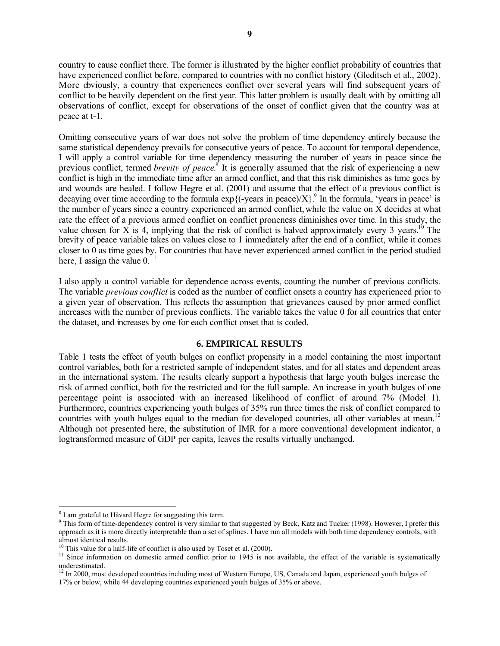country to cause conflict there. The former is illustrated by the higher conflict probability of countries that have experienced conflict before, compared to countries with no conflict history (Gleditsch et al., 2002). More obviously, a country that experiences conflict over several years will find subsequent years of conflict to be heavily dependent on the first year. This latter problem is usually dealt with by omitting all observations of conflict, except for observations of the onset of conflict given that the country was at peace at t-1.

Omitting consecutive years of war does not solve the problem of time dependency entirely because the same statistical dependency prevails for consecutive years of peace. To account for temporal dependence, I will apply a control variable for time dependency measuring the number of years in peace since the previous conflict, termed *brevity of peace*.<sup>8</sup> It is generally assumed that the risk of experiencing a new conflict is high in the immediate time after an armed conflict, and that this risk diminishes as time goes by and wounds are healed. I follow Hegre et al. (2001) and assume that the effect of a previous conflict is decaying over time according to the formula  $\exp\{(-\text{years in peace})/X\}$ .<sup>9</sup> In the formula, 'years in peace' is the number of years since a country experienced an armed conflict, while the value on X decides at what rate the effect of a previous armed conflict on conflict proneness diminishes over time. In this study, the value chosen for X is 4, implying that the risk of conflict is halved approximately every 3 years.<sup>10</sup> The brevity of peace variable takes on values close to 1 immediately after the end of a conflict, while it comes closer to 0 as time goes by. For countries that have never experienced armed conflict in the period studied here, I assign the value  $0<sup>11</sup>$ 

I also apply a control variable for dependence across events, counting the number of previous conflicts. The variable *previous conflict* is coded as the number of conflict onsets a country has experienced prior to a given year of observation. This reflects the assumption that grievances caused by prior armed conflict increases with the number of previous conflicts. The variable takes the value 0 for all countries that enter the dataset, and increases by one for each conflict onset that is coded.

#### **6. EMPIRICAL RESULTS**

Table 1 tests the effect of youth bulges on conflict propensity in a model containing the most important control variables, both for a restricted sample of independent states, and for all states and dependent areas in the international system. The results clearly support a hypothesis that large youth bulges increase the risk of armed conflict, both for the restricted and for the full sample. An increase in youth bulges of one percentage point is associated with an increased likelihood of conflict of around 7% (Model 1). Furthermore, countries experiencing youth bulges of 35% run three times the risk of conflict compared to countries with youth bulges equal to the median for developed countries, all other variables at mean.<sup>12</sup> Although not presented here, the substitution of IMR for a more conventional development indicator, a logtransformed measure of GDP per capita, leaves the results virtually unchanged.

 $\overline{a}$ 

<sup>&</sup>lt;sup>8</sup> I am grateful to Håvard Hegre for suggesting this term.

<sup>&</sup>lt;sup>9</sup> This form of time-dependency control is very similar to that suggested by Beck, Katz and Tucker (1998). However, I prefer this approach as it is more directly interpretable than a set of splines. I have run all models with both time dependency controls, with almost identical results.

<sup>&</sup>lt;sup>10</sup> This value for a half-life of conflict is also used by Toset et al. (2000).

<sup>&</sup>lt;sup>11</sup> Since information on domestic armed conflict prior to 1945 is not available, the effect of the variable is systematically underestimated.

 $12 \text{ In } 2000$ , most developed countries including most of Western Europe, US, Canada and Japan, experienced youth bulges of 17% or below, while 44 developing countries experienced youth bulges of 35% or above.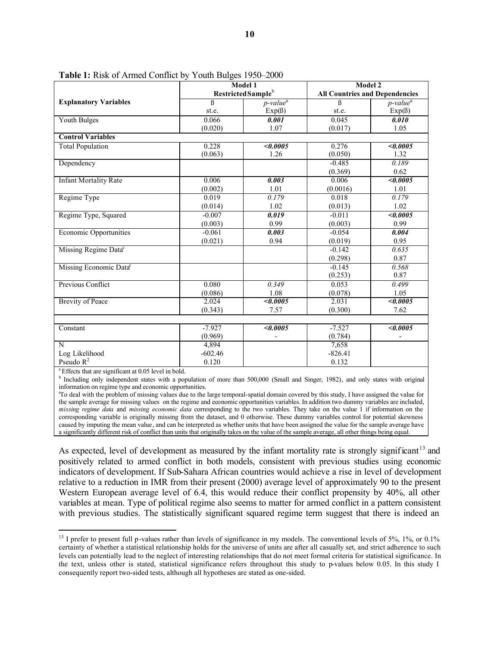|                                                                 |                                | Model 1                 |                                       | Model 2                 |  |  |
|-----------------------------------------------------------------|--------------------------------|-------------------------|---------------------------------------|-------------------------|--|--|
|                                                                 | Restricted Sample <sup>b</sup> |                         | <b>All Countries and Dependencies</b> |                         |  |  |
| <b>Explanatory Variables</b>                                    | $\beta$                        | $p$ -value <sup>a</sup> | ß                                     | $p$ -value <sup>a</sup> |  |  |
|                                                                 | st.e.                          | $Exp( \beta)$           | st.e.                                 | $Exp(\beta)$            |  |  |
| <b>Youth Bulges</b>                                             | 0.066                          | 0.001                   | 0.045                                 | 0.010                   |  |  |
|                                                                 | (0.020)                        | 1.07                    | (0.017)                               | 1.05                    |  |  |
| <b>Control Variables</b>                                        |                                |                         |                                       |                         |  |  |
| <b>Total Population</b>                                         | 0.228                          | <0.0005                 | 0.276                                 | <0.0005                 |  |  |
|                                                                 | (0.063)                        | 1.26                    | (0.050)                               | 1.32                    |  |  |
| Dependency                                                      |                                |                         | $-0.485$                              | 0.189                   |  |  |
|                                                                 |                                |                         | (0.369)                               | 0.62                    |  |  |
| <b>Infant Mortality Rate</b>                                    | 0.006                          | 0.003                   | 0.006                                 | $\sqrt{0.0005}$         |  |  |
|                                                                 | (0.002)                        | 1.01                    | (0.0016)                              | 1.01                    |  |  |
| Regime Type                                                     | 0.019                          | 0.179                   | 0.018                                 | 0.179                   |  |  |
|                                                                 | (0.014)                        | 1.02                    | (0.013)                               | 1.02                    |  |  |
| Regime Type, Squared                                            | $-0.007$                       | $\overline{0.019}$      | $-0.011$                              | $\sqrt{0.0005}$         |  |  |
|                                                                 | (0.003)                        | 0.99                    | (0.003)                               | 0.99                    |  |  |
| <b>Economic Opportunities</b>                                   | $-0.061$                       | 0.003                   | $-0.054$                              | 0.004                   |  |  |
|                                                                 | (0.021)                        | 0.94                    | (0.019)                               | 0.95                    |  |  |
| Missing Regime Data <sup>c</sup>                                |                                |                         | $-0.142$                              | 0.635                   |  |  |
|                                                                 |                                |                         | (0.298)                               | 0.87                    |  |  |
| Missing Economic Data <sup>c</sup>                              |                                |                         | $-0.145$                              | 0.568                   |  |  |
|                                                                 |                                |                         | (0.253)                               | 0.87                    |  |  |
| Previous Conflict                                               | 0.080                          | 0.349                   | 0.053                                 | 0.499                   |  |  |
|                                                                 | (0.086)                        | 1.08                    | (0.078)                               | 1.05                    |  |  |
| <b>Brevity of Peace</b>                                         | 2.024                          | <0.0005                 | 2.031                                 | <0.0005                 |  |  |
|                                                                 | (0.343)                        | 7.57                    | (0.300)                               | 7.62                    |  |  |
|                                                                 |                                |                         |                                       |                         |  |  |
| Constant                                                        | $-7.927$                       | $\sqrt{0.0005}$         | $-7.527$                              | $\sqrt{0.0005}$         |  |  |
|                                                                 | (0.969)                        |                         | (0.784)                               |                         |  |  |
| N                                                               | 4,894                          |                         | 7,658                                 |                         |  |  |
| Log Likelihood                                                  | $-602.46$                      |                         | $-826.41$                             |                         |  |  |
| Pseudo $R^2$                                                    | 0.120                          |                         | 0.132                                 |                         |  |  |
| <sup>a</sup> Effects that are significant at 0.05 level in hold |                                |                         |                                       |                         |  |  |

**Table 1:** Risk of Armed Conflict by Youth Bulges 1950–2000

<sup>a</sup> Effects that are significant at 0.05 level in bold.

l

<sup>b</sup> Including only independent states with a population of more than 500,000 (Small and Singer, 1982), and only states with original information on regime type and economic opportunities.

<sup>o</sup>To deal with the problem of missing values due to the large temporal-spatial domain covered by this study, I have assigned the value for the sample average for missing values on the regime and economic opportunities variables. In addition two dummy variables are included, *missing regime data* and *missing economic data* corresponding to the two variables. They take on the value 1 if information on the corresponding variable is originally missing from the dataset, and 0 otherwise. These dummy variables control for potential skewness caused by imputing the mean value, and can be interpreted as whether units that have been assigned the value for the sample average have a significantly different risk of conflict than units that originally takes on the value of the sample average, all other things being equal.

As expected, level of development as measured by the infant mortality rate is strongly significant<sup>13</sup> and positively related to armed conflict in both models, consistent with previous studies using economic indicators of development. If Sub-Sahara African countries would achieve a rise in level of development relative to a reduction in IMR from their present (2000) average level of approximately 90 to the present Western European average level of 6.4, this would reduce their conflict propensity by 40%, all other variables at mean. Type of political regime also seems to matter for armed conflict in a pattern consistent with previous studies. The statistically significant squared regime term suggest that there is indeed an

<sup>&</sup>lt;sup>13</sup> I prefer to present full p-values rather than levels of significance in my models. The conventional levels of 5%, 1%, or 0.1% certainty of whether a statistical relationship holds for the universe of units are after all casually set, and strict adherence to such levels can potentially lead to the neglect of interesting relationships that do not meet formal criteria for statistical significance. In the text, unless other is stated, statistical significance refers throughout this study to p-values below 0.05. In this study I consequently report two-sided tests, although all hypotheses are stated as one-sided.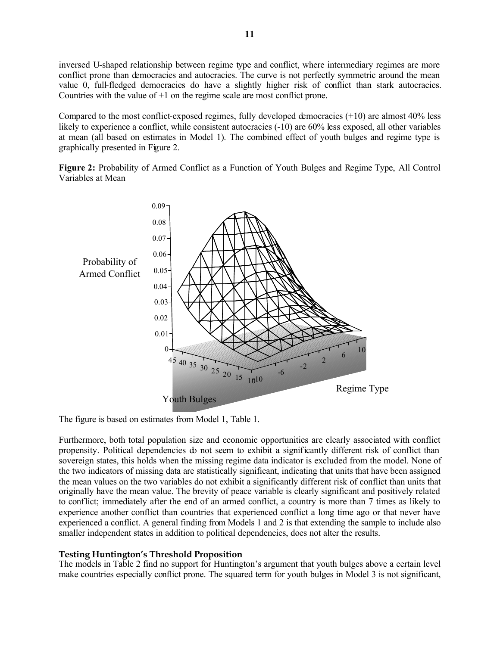inversed U-shaped relationship between regime type and conflict, where intermediary regimes are more conflict prone than democracies and autocracies. The curve is not perfectly symmetric around the mean value 0, full-fledged democracies do have a slightly higher risk of conflict than stark autocracies. Countries with the value of +1 on the regime scale are most conflict prone.

Compared to the most conflict-exposed regimes, fully developed democracies (+10) are almost 40% less likely to experience a conflict, while consistent autocracies (-10) are 60% less exposed, all other variables at mean (all based on estimates in Model 1). The combined effect of youth bulges and regime type is graphically presented in Figure 2.

**Figure 2:** Probability of Armed Conflict as a Function of Youth Bulges and Regime Type, All Control Variables at Mean



The figure is based on estimates from Model 1, Table 1.

Furthermore, both total population size and economic opportunities are clearly associated with conflict propensity. Political dependencies do not seem to exhibit a significantly different risk of conflict than sovereign states, this holds when the missing regime data indicator is excluded from the model. None of the two indicators of missing data are statistically significant, indicating that units that have been assigned the mean values on the two variables do not exhibit a significantly different risk of conflict than units that originally have the mean value. The brevity of peace variable is clearly significant and positively related to conflict; immediately after the end of an armed conflict, a country is more than 7 times as likely to experience another conflict than countries that experienced conflict a long time ago or that never have experienced a conflict. A general finding from Models 1 and 2 is that extending the sample to include also smaller independent states in addition to political dependencies, does not alter the results.

#### **Testing Huntington's Threshold Proposition**

The models in Table 2 find no support for Huntington's argument that youth bulges above a certain level make countries especially conflict prone. The squared term for youth bulges in Model 3 is not significant,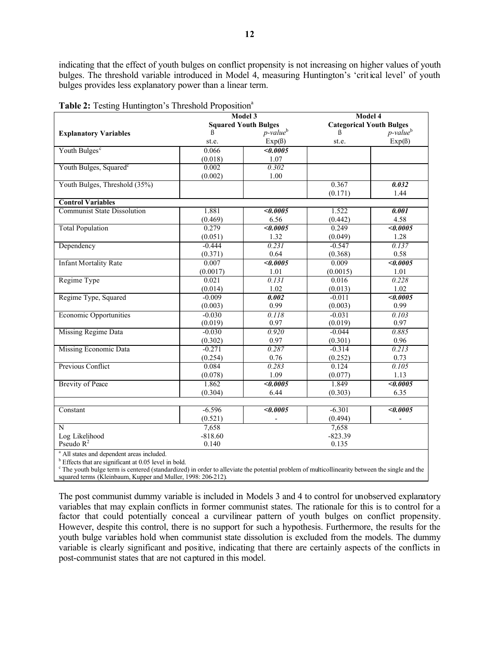indicating that the effect of youth bulges on conflict propensity is not increasing on higher values of youth bulges. The threshold variable introduced in Model 4, measuring Huntington's 'critical level' of youth bulges provides less explanatory power than a linear term.

| <b>rapic 2.</b> Testing Framington 3 Threshold I reposition |                             | Model 3                 | Model 4                         |                         |  |  |  |
|-------------------------------------------------------------|-----------------------------|-------------------------|---------------------------------|-------------------------|--|--|--|
|                                                             | <b>Squared Youth Bulges</b> |                         | <b>Categorical Youth Bulges</b> |                         |  |  |  |
| <b>Explanatory Variables</b>                                | $\beta$                     | $p$ -value <sup>b</sup> | ß                               | $p$ -value <sup>b</sup> |  |  |  |
|                                                             | st.e.                       | $Exp( \beta)$           | st.e.                           | $Exp(\beta)$            |  |  |  |
| Youth Bulges <sup>c</sup>                                   | 0.066                       | $\sqrt{0.0005}$         |                                 |                         |  |  |  |
|                                                             | (0.018)                     | 1.07                    |                                 |                         |  |  |  |
| Youth Bulges, Squared <sup>c</sup>                          | 0.002                       | 0.302                   |                                 |                         |  |  |  |
|                                                             | (0.002)                     | 1.00                    |                                 |                         |  |  |  |
| Youth Bulges, Threshold (35%)                               |                             |                         | 0.367                           | 0.032                   |  |  |  |
|                                                             |                             |                         | (0.171)                         | 1.44                    |  |  |  |
| <b>Control Variables</b>                                    |                             |                         |                                 |                         |  |  |  |
| <b>Communist State Dissolution</b>                          | 1.881                       | < 0.0005                | 1.522                           | $\overline{0.001}$      |  |  |  |
|                                                             | (0.469)                     | 6.56                    | (0.442)                         | 4.58                    |  |  |  |
| <b>Total Population</b>                                     | 0.279                       | $\sqrt{0.0005}$         | 0.249                           | $\sqrt{0.0005}$         |  |  |  |
|                                                             | (0.051)                     | 1.32                    | (0.049)                         | 1.28                    |  |  |  |
| Dependency                                                  | $-0.444$                    | 0.231                   | $-0.547$                        | 0.137                   |  |  |  |
|                                                             | (0.371)                     | 0.64                    | (0.368)                         | 0.58                    |  |  |  |
| <b>Infant Mortality Rate</b>                                | 0.007                       | < 0.0005                | 0.009                           | $\sqrt{0.0005}$         |  |  |  |
|                                                             | (0.0017)                    | 1.01                    | (0.0015)                        | 1.01                    |  |  |  |
| Regime Type                                                 | 0.021                       | 0.131                   | 0.016                           | 0.228                   |  |  |  |
|                                                             | (0.014)                     | 1.02                    | (0.013)                         | 1.02                    |  |  |  |
| Regime Type, Squared                                        | $-0.009$                    | 0.002                   | $-0.011$                        | < 0.0005                |  |  |  |
|                                                             | (0.003)                     | 0.99                    | (0.003)                         | 0.99                    |  |  |  |
| <b>Economic Opportunities</b>                               | $-0.030$                    | 0.118                   | $-0.031$                        | 0.103                   |  |  |  |
|                                                             | (0.019)                     | 0.97                    | (0.019)                         | 0.97                    |  |  |  |
| <b>Missing Regime Data</b>                                  | $-0.030$                    | 0.920                   | $-0.044$                        | 0.885                   |  |  |  |
|                                                             | (0.302)                     | 0.97                    | (0.301)                         | 0.96                    |  |  |  |
| <b>Missing Economic Data</b>                                | $-0.271$                    | 0.287                   | $-0.314$                        | 0.213                   |  |  |  |
|                                                             | (0.254)                     | 0.76                    | (0.252)                         | 0.73                    |  |  |  |
| Previous Conflict                                           | 0.084                       | 0.283                   | 0.124                           | 0.105                   |  |  |  |
|                                                             | (0.078)                     | 1.09                    | (0.077)                         | 1.13                    |  |  |  |
| <b>Brevity of Peace</b>                                     | 1.862                       | $\sqrt{0.0005}$         | 1.849                           | $\sqrt{0.0005}$         |  |  |  |
|                                                             | (0.304)                     | 6.44                    | (0.303)                         | 6.35                    |  |  |  |
|                                                             |                             |                         |                                 |                         |  |  |  |
| Constant                                                    | $-6.596$                    | $\sqrt{0.0005}$         | $-6.301$                        | <0.0005                 |  |  |  |
|                                                             | (0.521)                     | $\frac{1}{2}$           | (0.494)                         | $\frac{1}{2}$           |  |  |  |
| N                                                           | 7,658                       |                         | 7,658                           |                         |  |  |  |
| Log Likelihood                                              | $-818.60$                   |                         | $-823.39$                       |                         |  |  |  |
| Pseudo $R^2$<br>$9 - 4 + 1 = 1$<br>$\sim$ $\sim$            | 0.140                       |                         | 0.135                           |                         |  |  |  |

|  |  | Table 2: Testing Huntington's Threshold Proposition <sup>a</sup> |
|--|--|------------------------------------------------------------------|
|  |  |                                                                  |

a All states and dependent areas included.

<sup>b</sup> Effects that are significant at 0.05 level in bold.

<sup>c</sup> The youth bulge term is centered (standardized) in order to alleviate the potential problem of multicollinearity between the single and the squared terms (Kleinbaum, Kupper and Muller, 1998: 206-212).

The post communist dummy variable is included in Models 3 and 4 to control for unobserved explanatory variables that may explain conflicts in former communist states. The rationale for this is to control for a factor that could potentially conceal a curvilinear pattern of youth bulges on conflict propensity. However, despite this control, there is no support for such a hypothesis. Furthermore, the results for the youth bulge variables hold when communist state dissolution is excluded from the models. The dummy variable is clearly significant and positive, indicating that there are certainly aspects of the conflicts in post-communist states that are not captured in this model.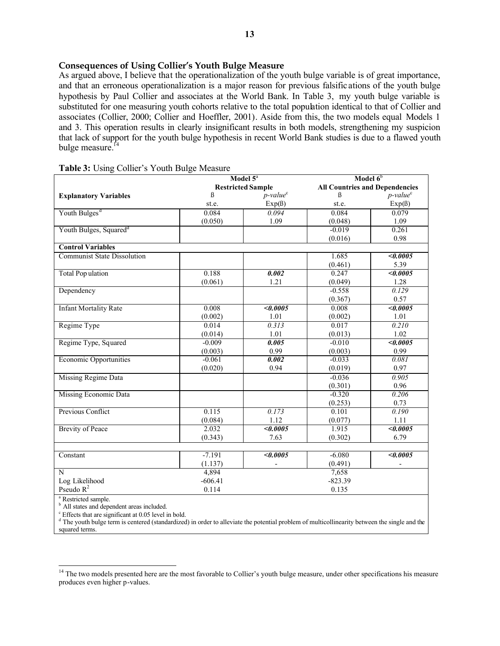#### **Consequences of Using Collier's Youth Bulge Measure**

As argued above, I believe that the operationalization of the youth bulge variable is of great importance, and that an erroneous operationalization is a major reason for previous falsific ations of the youth bulge hypothesis by Paul Collier and associates at the World Bank. In Table 3, my youth bulge variable is substituted for one measuring youth cohorts relative to the total population identical to that of Collier and associates (Collier, 2000; Collier and Hoeffler, 2001). Aside from this, the two models equal Models 1 and 3. This operation results in clearly insignificant results in both models, strengthening my suspicion that lack of support for the youth bulge hypothesis in recent World Bank studies is due to a flawed youth bulge measure.<sup>14</sup>

|                                    | Model 5 <sup>a</sup>     |                         | Model $6b$ |                                       |  |
|------------------------------------|--------------------------|-------------------------|------------|---------------------------------------|--|
|                                    | <b>Restricted Sample</b> |                         |            | <b>All Countries and Dependencies</b> |  |
| <b>Explanatory Variables</b>       | ß                        | $p$ -value <sup>c</sup> | ß          | $p$ -value <sup>c</sup>               |  |
|                                    | st.e.                    | $Exp( \beta)$           | st.e.      | $Exp( \beta )$                        |  |
| Youth Bulges <sup>d</sup>          | 0.084                    | 0.094                   | 0.084      | 0.079                                 |  |
|                                    | (0.050)                  | 1.09                    | (0.048)    | 1.09                                  |  |
| Youth Bulges, Squared <sup>d</sup> |                          |                         | $-0.019$   | 0.261                                 |  |
|                                    |                          |                         | (0.016)    | 0.98                                  |  |
| <b>Control Variables</b>           |                          |                         |            |                                       |  |
| <b>Communist State Dissolution</b> |                          |                         | 1.685      | <0.0005                               |  |
|                                    |                          |                         | (0.461)    | 5.39                                  |  |
| <b>Total Pop ulation</b>           | 0.188                    | 0.002                   | 0.247      | $\sqrt{0.0005}$                       |  |
|                                    | (0.061)                  | 1.21                    | (0.049)    | 1.28                                  |  |
| Dependency                         |                          |                         | $-0.558$   | 0.129                                 |  |
|                                    |                          |                         | (0.367)    | 0.57                                  |  |
| <b>Infant Mortality Rate</b>       | 0.008                    | < 0.0005                | 0.008      | $\sqrt{0.0005}$                       |  |
|                                    | (0.002)                  | 1.01                    | (0.002)    | 1.01                                  |  |
| Regime Type                        | 0.014                    | 0.313                   | 0.017      | 0.210                                 |  |
|                                    | (0.014)                  | 1.01                    | (0.013)    | 1.02                                  |  |
| Regime Type, Squared               | $-0.009$                 | 0.005                   | $-0.010$   | $\sqrt{0.0005}$                       |  |
|                                    | (0.003)                  | 0.99                    | (0.003)    | 0.99                                  |  |
| <b>Economic Opportunities</b>      | $-0.061$                 | 0.002                   | $-0.033$   | 0.081                                 |  |
|                                    | (0.020)                  | 0.94                    | (0.019)    | 0.97                                  |  |
| Missing Regime Data                |                          |                         | $-0.036$   | 0.905                                 |  |
|                                    |                          |                         | (0.301)    | 0.96                                  |  |
| <b>Missing Economic Data</b>       |                          |                         | $-0.320$   | 0.206                                 |  |
|                                    |                          |                         | (0.253)    | 0.73                                  |  |
| Previous Conflict                  | 0.115                    | 0.173                   | 0.101      | 0.190                                 |  |
|                                    | (0.084)                  | 1.12                    | (0.077)    | 1.11                                  |  |
| <b>Brevity of Peace</b>            | 2.032                    | $\sqrt{0.0005}$         | 1.915      | $\sqrt{0.0005}$                       |  |
|                                    | (0.343)                  | 7.63                    | (0.302)    | 6.79                                  |  |
|                                    |                          |                         |            |                                       |  |
| Constant                           | $-7.191$                 | $\sqrt{0.0005}$         | $-6.080$   | <0.0005                               |  |
|                                    | (1.137)                  |                         | (0.491)    |                                       |  |
| N                                  | 4,894                    |                         | 7,658      |                                       |  |
| Log Likelihood                     | $-606.41$                |                         | $-823.39$  |                                       |  |
| Pseudo $R^2$                       | 0.114                    |                         | 0.135      |                                       |  |

#### **Table 3:** Using Collier's Youth Bulge Measure

<sup>a</sup> Restricted sample.

l

<sup>b</sup> All states and dependent areas included.

c Effects that are significant at 0.05 level in bold.

<sup>d</sup> The youth bulge term is centered (standardized) in order to alleviate the potential problem of multicollinearity between the single and the squared terms.

<sup>&</sup>lt;sup>14</sup> The two models presented here are the most favorable to Collier's youth bulge measure, under other specifications his measure produces even higher p-values.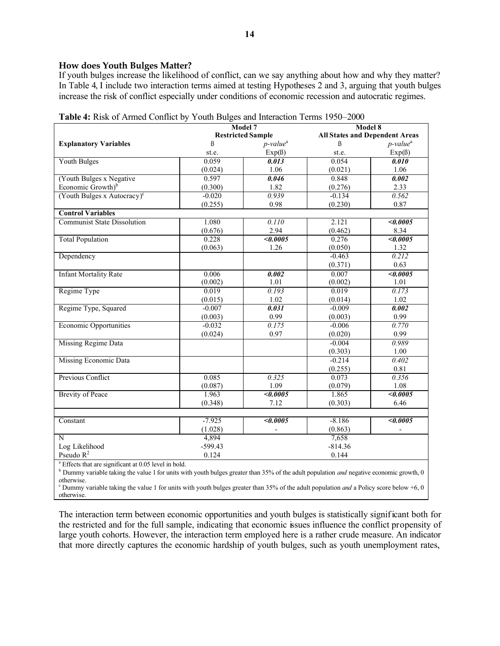#### **How does Youth Bulges Matter?**

If youth bulges increase the likelihood of conflict, can we say anything about how and why they matter? In Table 4, I include two interaction terms aimed at testing Hypotheses 2 and 3, arguing that youth bulges increase the risk of conflict especially under conditions of economic recession and autocratic regimes.

|                                         | Model 7                  |                         | Model 8                               |                                      |  |  |  |
|-----------------------------------------|--------------------------|-------------------------|---------------------------------------|--------------------------------------|--|--|--|
|                                         | <b>Restricted Sample</b> |                         | <b>All States and Dependent Areas</b> |                                      |  |  |  |
| <b>Explanatory Variables</b>            | $\beta$                  | $p$ -value <sup>a</sup> | $\boldsymbol{\beta}$                  | $p$ -value <sup><math>a</math></sup> |  |  |  |
|                                         | st.e.                    | Exp(6)                  | st.e.                                 | $Exp(\beta)$                         |  |  |  |
| <b>Youth Bulges</b>                     | 0.059                    | 0.013                   | 0.054                                 | 0.010                                |  |  |  |
|                                         | (0.024)                  | 1.06                    | (0.021)                               | 1.06                                 |  |  |  |
| (Youth Bulges x Negative                | 0.597                    | 0.046                   | 0.848                                 | 0.002                                |  |  |  |
| Economic Growth) <sup>b</sup>           | (0.300)                  | 1.82                    | (0.276)                               | 2.33                                 |  |  |  |
| (Youth Bulges x Autocracy) $\mathrm{c}$ | $-0.020$                 | 0.939                   | $-0.134$                              | 0.562                                |  |  |  |
|                                         | (0.255)                  | 0.98                    | (0.230)                               | 0.87                                 |  |  |  |
| <b>Control Variables</b>                |                          |                         |                                       |                                      |  |  |  |
| <b>Communist State Dissolution</b>      | 1.080                    | 0.110                   | 2.121                                 | $\sqrt{0.0005}$                      |  |  |  |
|                                         | (0.676)                  | 2.94                    | (0.462)                               | 8.34                                 |  |  |  |
| <b>Total Population</b>                 | 0.228                    | $\sqrt{0.0005}$         | 0.276                                 | <0.0005                              |  |  |  |
|                                         | (0.063)                  | 1.26                    | (0.050)                               | 1.32                                 |  |  |  |
| Dependency                              |                          |                         | $-0.463$                              | 0.212                                |  |  |  |
|                                         |                          |                         | (0.371)                               | 0.63                                 |  |  |  |
| <b>Infant Mortality Rate</b>            | 0.006                    | 0.002                   | 0.007                                 | $\sqrt{0.0005}$                      |  |  |  |
|                                         | (0.002)                  | 1.01                    | (0.002)                               | 1.01                                 |  |  |  |
| Regime Type                             | 0.019                    | 0.193                   | 0.019                                 | 0.173                                |  |  |  |
|                                         | (0.015)                  | 1.02                    | (0.014)                               | 1.02                                 |  |  |  |
| Regime Type, Squared                    | $-0.007$                 | 0.031                   | $-0.009$                              | 0.002                                |  |  |  |
|                                         | (0.003)                  | 0.99                    | (0.003)                               | 0.99                                 |  |  |  |
| <b>Economic Opportunities</b>           | $-0.032$                 | 0.175                   | $-0.006$                              | 0.770                                |  |  |  |
|                                         | (0.024)                  | 0.97                    | (0.020)                               | 0.99                                 |  |  |  |
| <b>Missing Regime Data</b>              |                          |                         | $-0.004$                              | 0.989                                |  |  |  |
|                                         |                          |                         | (0.303)                               | 1.00                                 |  |  |  |
| <b>Missing Economic Data</b>            |                          |                         | $-0.214$                              | 0.402                                |  |  |  |
|                                         |                          |                         | (0.255)                               | 0.81                                 |  |  |  |
| Previous Conflict                       | 0.085                    | 0.325                   | 0.073                                 | 0.356                                |  |  |  |
|                                         | (0.087)                  | 1.09                    | (0.079)                               | 1.08                                 |  |  |  |
| <b>Brevity of Peace</b>                 | 1.963                    | $\sqrt{0.0005}$         | 1.865                                 | $\sqrt{0.0005}$                      |  |  |  |
|                                         | (0.348)                  | 7.12                    | (0.303)                               | 6.46                                 |  |  |  |
|                                         |                          |                         |                                       |                                      |  |  |  |
| Constant                                | $-7.925$                 | $\sqrt{0.0005}$         | $-8.186$                              | <0.0005                              |  |  |  |
|                                         | (1.028)                  |                         | (0.863)                               |                                      |  |  |  |
| $\overline{N}$                          | 4,894                    |                         | 7,658                                 |                                      |  |  |  |
| Log Likelihood                          | $-599.43$                |                         | $-814.36$                             |                                      |  |  |  |
| Pseudo $R^2$                            | 0.124                    |                         | 0.144                                 |                                      |  |  |  |

<sup>a</sup> Effects that are significant at 0.05 level in bold.

<sup>b</sup> Dummy variable taking the value 1 for units with youth bulges greater than 35% of the adult population *and* negative economic growth, 0 otherwise.

<sup>c</sup> Dummy variable taking the value 1 for units with youth bulges greater than 35% of the adult population *and* a Policy score below  $+6$ , 0 otherwise.

The interaction term between economic opportunities and youth bulges is statistically significant both for the restricted and for the full sample, indicating that economic issues influence the conflict propensity of large youth cohorts. However, the interaction term employed here is a rather crude measure. An indicator that more directly captures the economic hardship of youth bulges, such as youth unemployment rates,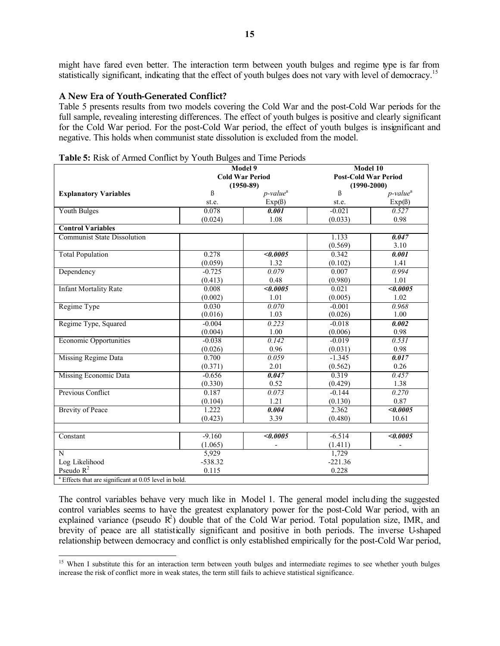might have fared even better. The interaction term between youth bulges and regime type is far from statistically significant, indicating that the effect of youth bulges does not vary with level of democracy.<sup>15</sup>

#### **A New Era of Youth-Generated Conflict?**

l

Table 5 presents results from two models covering the Cold War and the post-Cold War periods for the full sample, revealing interesting differences. The effect of youth bulges is positive and clearly significant for the Cold War period. For the post-Cold War period, the effect of youth bulges is insignificant and negative. This holds when communist state dissolution is excluded from the model.

| <b>Fabic 3.</b> Kisk of Armica Commet by Todal Duiges and Thine I chous<br>Model 9<br>Model 10 |             |                                      |                 |                             |  |  |
|------------------------------------------------------------------------------------------------|-------------|--------------------------------------|-----------------|-----------------------------|--|--|
|                                                                                                |             | <b>Cold War Period</b>               |                 | <b>Post-Cold War Period</b> |  |  |
|                                                                                                | $(1950-89)$ |                                      | $(1990 - 2000)$ |                             |  |  |
| <b>Explanatory Variables</b>                                                                   | $\beta$     | $p$ -value <sup><math>a</math></sup> | $\beta$         | $p$ -value <sup>a</sup>     |  |  |
|                                                                                                | st.e.       | $Exp(\beta)$                         | st.e.           | $Exp( \beta )$              |  |  |
| <b>Youth Bulges</b>                                                                            | 0.078       | 0.001                                | $-0.021$        | 0.527                       |  |  |
|                                                                                                | (0.024)     | 1.08                                 | (0.033)         | 0.98                        |  |  |
| <b>Control Variables</b>                                                                       |             |                                      |                 |                             |  |  |
| <b>Communist State Dissolution</b>                                                             |             |                                      | 1.133           | 0.047                       |  |  |
|                                                                                                |             |                                      | (0.569)         | 3.10                        |  |  |
| <b>Total Population</b>                                                                        | 0.278       | $\sqrt{0.0005}$                      | 0.342           | $\overline{0.001}$          |  |  |
|                                                                                                | (0.059)     | 1.32                                 | (0.102)         | 1.41                        |  |  |
| Dependency                                                                                     | $-0.725$    | 0.079                                | 0.007           | 0.994                       |  |  |
|                                                                                                | (0.413)     | 0.48                                 | (0.980)         | 1.01                        |  |  |
| <b>Infant Mortality Rate</b>                                                                   | 0.008       | $\sqrt{0.0005}$                      | 0.021           | $\sqrt{0.0005}$             |  |  |
|                                                                                                | (0.002)     | 1.01                                 | (0.005)         | 1.02                        |  |  |
| Regime Type                                                                                    | 0.030       | 0.070                                | $-0.001$        | 0.968                       |  |  |
|                                                                                                | (0.016)     | 1.03                                 | (0.026)         | 1.00                        |  |  |
| Regime Type, Squared                                                                           | $-0.004$    | 0.223                                | $-0.018$        | 0.002                       |  |  |
|                                                                                                | (0.004)     | 1.00                                 | (0.006)         | 0.98                        |  |  |
| <b>Economic Opportunities</b>                                                                  | $-0.038$    | 0.142                                | $-0.019$        | 0.531                       |  |  |
|                                                                                                | (0.026)     | 0.96                                 | (0.031)         | 0.98                        |  |  |
| Missing Regime Data                                                                            | 0.700       | 0.059                                | $-1.345$        | 0.017                       |  |  |
|                                                                                                | (0.371)     | 2.01                                 | (0.562)         | 0.26                        |  |  |
| Missing Economic Data                                                                          | $-0.656$    | 0.047                                | 0.319           | 0.457                       |  |  |
|                                                                                                | (0.330)     | 0.52                                 | (0.429)         | 1.38                        |  |  |
| Previous Conflict                                                                              | 0.187       | 0.073                                | $-0.144$        | 0.270                       |  |  |
|                                                                                                | (0.104)     | 1.21                                 | (0.130)         | 0.87                        |  |  |
| <b>Brevity of Peace</b>                                                                        | 1.222       | 0.004                                | 2.362           | <0.0005                     |  |  |
|                                                                                                | (0.423)     | 3.39                                 | (0.480)         | 10.61                       |  |  |
|                                                                                                |             |                                      |                 |                             |  |  |
| Constant                                                                                       | $-9.160$    | $\sqrt{0.0005}$                      | $-6.514$        | <0.0005                     |  |  |
|                                                                                                | (1.065)     |                                      | (1.411)         |                             |  |  |
| N                                                                                              | 5,929       |                                      | 1,729           |                             |  |  |
| Log Likelihood                                                                                 | $-538.32$   |                                      | $-221.36$       |                             |  |  |
| Pseudo $R^2$                                                                                   | 0.115       |                                      | 0.228           |                             |  |  |
| <sup>a</sup> Effects that are significant at 0.05 level in bold.                               |             |                                      |                 |                             |  |  |

The control variables behave very much like in Model 1. The general model including the suggested control variables seems to have the greatest explanatory power for the post-Cold War period, with an explained variance (pseudo  $R^2$ ) double that of the Cold War period. Total population size, IMR, and brevity of peace are all statistically significant and positive in both periods. The inverse U-shaped relationship between democracy and conflict is only established empirically for the post-Cold War period,

<sup>&</sup>lt;sup>15</sup> When I substitute this for an interaction term between youth bulges and intermediate regimes to see whether youth bulges increase the risk of conflict more in weak states, the term still fails to achieve statistical significance.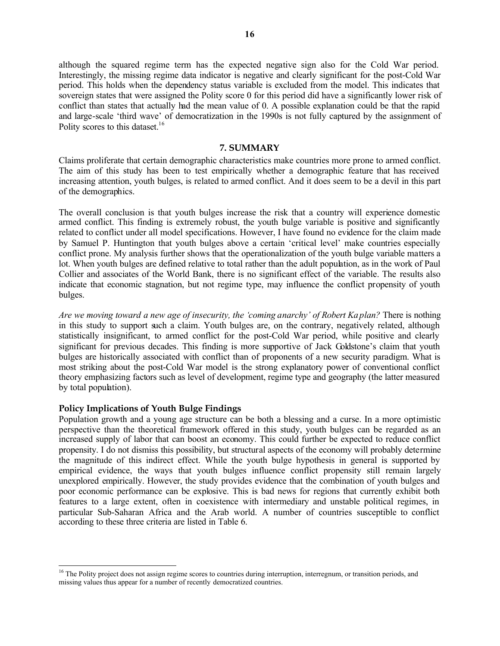although the squared regime term has the expected negative sign also for the Cold War period. Interestingly, the missing regime data indicator is negative and clearly significant for the post-Cold War period. This holds when the dependency status variable is excluded from the model. This indicates that sovereign states that were assigned the Polity score 0 for this period did have a significantly lower risk of conflict than states that actually had the mean value of 0. A possible explanation could be that the rapid and large-scale 'third wave' of democratization in the 1990s is not fully captured by the assignment of Polity scores to this dataset.<sup>16</sup>

#### **7. SUMMARY**

Claims proliferate that certain demographic characteristics make countries more prone to armed conflict. The aim of this study has been to test empirically whether a demographic feature that has received increasing attention, youth bulges, is related to armed conflict. And it does seem to be a devil in this part of the demographics.

The overall conclusion is that youth bulges increase the risk that a country will experience domestic armed conflict. This finding is extremely robust, the youth bulge variable is positive and significantly related to conflict under all model specifications. However, I have found no evidence for the claim made by Samuel P. Huntington that youth bulges above a certain 'critical level' make countries especially conflict prone. My analysis further shows that the operationalization of the youth bulge variable matters a lot. When youth bulges are defined relative to total rather than the adult population, as in the work of Paul Collier and associates of the World Bank, there is no significant effect of the variable. The results also indicate that economic stagnation, but not regime type, may influence the conflict propensity of youth bulges.

*Are we moving toward a new age of insecurity, the 'coming anarchy' of Robert Kaplan?* There is nothing in this study to support such a claim. Youth bulges are, on the contrary, negatively related, although statistically insignificant, to armed conflict for the post-Cold War period, while positive and clearly significant for previous decades. This finding is more supportive of Jack Goldstone's claim that youth bulges are historically associated with conflict than of proponents of a new security paradigm. What is most striking about the post-Cold War model is the strong explanatory power of conventional conflict theory emphasizing factors such as level of development, regime type and geography (the latter measured by total population).

#### **Policy Implications of Youth Bulge Findings**

l

Population growth and a young age structure can be both a blessing and a curse. In a more optimistic perspective than the theoretical framework offered in this study, youth bulges can be regarded as an increased supply of labor that can boost an economy. This could further be expected to reduce conflict propensity. I do not dismiss this possibility, but structural aspects of the economy will probably determine the magnitude of this indirect effect. While the youth bulge hypothesis in general is supported by empirical evidence, the ways that youth bulges influence conflict propensity still remain largely unexplored empirically. However, the study provides evidence that the combination of youth bulges and poor economic performance can be explosive. This is bad news for regions that currently exhibit both features to a large extent, often in coexistence with intermediary and unstable political regimes, in particular Sub-Saharan Africa and the Arab world. A number of countries susceptible to conflict according to these three criteria are listed in Table 6.

<sup>&</sup>lt;sup>16</sup> The Polity project does not assign regime scores to countries during interruption, interregnum, or transition periods, and missing values thus appear for a number of recently democratized countries.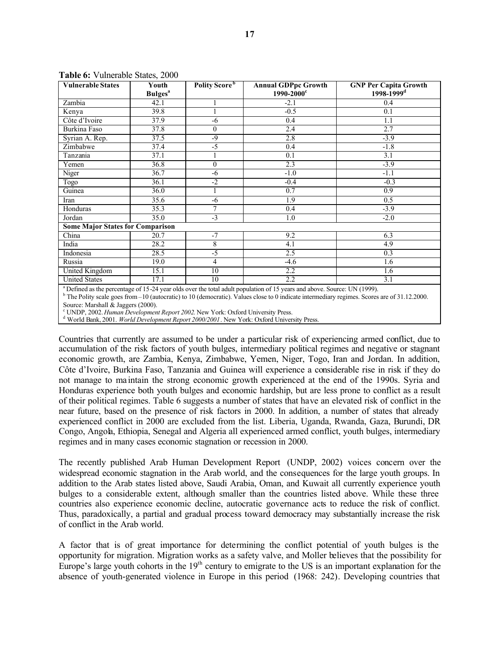| <b>Vulnerable States</b>                | Youth                      | Polity Score <sup>b</sup> | <b>Annual GDPpc Growth</b> | <b>GNP Per Capita Growth</b> |
|-----------------------------------------|----------------------------|---------------------------|----------------------------|------------------------------|
|                                         | <b>Bulges</b> <sup>a</sup> |                           | $1990 - 2000$ c            | 1998-1999 <sup>d</sup>       |
| Zambia                                  | 42.1                       |                           | $-2.1$                     | 0.4                          |
| Kenya                                   | 39.8                       |                           | $-0.5$                     | 0.1                          |
| Côte d'Ivoire                           | 37.9                       | -6                        | 0.4                        | 1.1                          |
| <b>Burkina Faso</b>                     | 37.8                       | $\boldsymbol{0}$          | 2.4                        | 2.7                          |
| Syrian A. Rep.                          | 37.5                       | -9                        | 2.8                        | $-3.9$                       |
| Zimbabwe                                | 37.4                       | $-5$                      | 0.4                        | $-1.8$                       |
| Tanzania                                | 37.1                       |                           | 0.1                        | 3.1                          |
| Yemen                                   | 36.8                       | $\mathbf{0}$              | 2.3                        | $-3.9$                       |
| Niger                                   | 36.7                       | -6                        | $-1.0$                     | $-1.1$                       |
| Togo                                    | 36.1                       | $-2$                      | $-0.4$                     | $-0.3$                       |
| Guinea                                  | 36.0                       | 1                         | 0.7                        | 0.9                          |
| Iran                                    | 35.6                       | -6                        | 1.9                        | 0.5                          |
| Honduras                                | 35.3                       | 7                         | 0.4                        | $-3.9$                       |
| Jordan                                  | 35.0                       | $-3$                      | 1.0                        | $-2.0$                       |
| <b>Some Major States for Comparison</b> |                            |                           |                            |                              |
| China                                   | 20.7                       | $-7$                      | 9.2                        | 6.3                          |
| India                                   | 28.2                       | $\,$ 8 $\,$               | $\overline{4.1}$           | 4.9                          |
| Indonesia                               | 28.5                       | $-5$                      | 2.5                        | 0.3                          |
| Russia                                  | 19.0                       | 4                         | $-4.6$                     | 1.6                          |
| <b>United Kingdom</b>                   | 15.1                       | 10                        | 2.2                        | 1.6                          |
| <b>United States</b>                    | 17.1                       | 10                        | 2.2                        | 3.1                          |

**Table 6:** Vulnerable States, 2000

<sup>a</sup> Defined as the percentage of 15-24 year olds over the total adult population of 15 years and above. Source: UN (1999).

<sup>b</sup> The Polity scale goes from –10 (autocratic) to 10 (democratic). Values close to 0 indicate intermediary regimes. Scores are of 31.12.2000. Source: Marshall & Jaggers (2000).

c UNDP, 2002. *Human Development Report 2002*. New York: Oxford University Press.

d World Bank, 2001. *World Development Report 2000/2001*. New York: Oxford University Press.

Countries that currently are assumed to be under a particular risk of experiencing armed conflict, due to accumulation of the risk factors of youth bulges, intermediary political regimes and negative or stagnant economic growth, are Zambia, Kenya, Zimbabwe, Yemen, Niger, Togo, Iran and Jordan. In addition, Côte d'Ivoire, Burkina Faso, Tanzania and Guinea will experience a considerable rise in risk if they do not manage to ma intain the strong economic growth experienced at the end of the 1990s. Syria and Honduras experience both youth bulges and economic hardship, but are less prone to conflict as a result of their political regimes. Table 6 suggests a number of states that have an elevated risk of conflict in the near future, based on the presence of risk factors in 2000. In addition, a number of states that already experienced conflict in 2000 are excluded from the list. Liberia, Uganda, Rwanda, Gaza, Burundi, DR Congo, Angola, Ethiopia, Senegal and Algeria all experienced armed conflict, youth bulges, intermediary regimes and in many cases economic stagnation or recession in 2000.

The recently published Arab Human Development Report (UNDP, 2002) voices concern over the widespread economic stagnation in the Arab world, and the consequences for the large youth groups. In addition to the Arab states listed above, Saudi Arabia, Oman, and Kuwait all currently experience youth bulges to a considerable extent, although smaller than the countries listed above. While these three countries also experience economic decline, autocratic governance acts to reduce the risk of conflict. Thus, paradoxically, a partial and gradual process toward democracy may substantially increase the risk of conflict in the Arab world.

A factor that is of great importance for determining the conflict potential of youth bulges is the opportunity for migration. Migration works as a safety valve, and Moller believes that the possibility for Europe's large youth cohorts in the  $19<sup>th</sup>$  century to emigrate to the US is an important explanation for the absence of youth-generated violence in Europe in this period (1968: 242). Developing countries that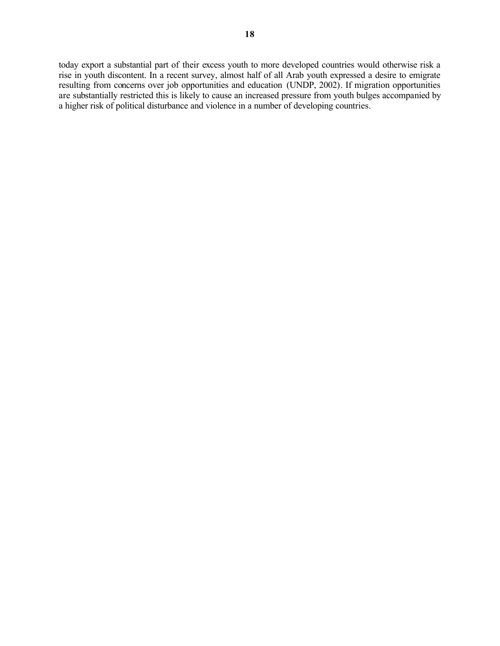today export a substantial part of their excess youth to more developed countries would otherwise risk a rise in youth discontent. In a recent survey, almost half of all Arab youth expressed a desire to emigrate resulting from concerns over job opportunities and education (UNDP, 2002). If migration opportunities are substantially restricted this is likely to cause an increased pressure from youth bulges accompanied by a higher risk of political disturbance and violence in a number of developing countries.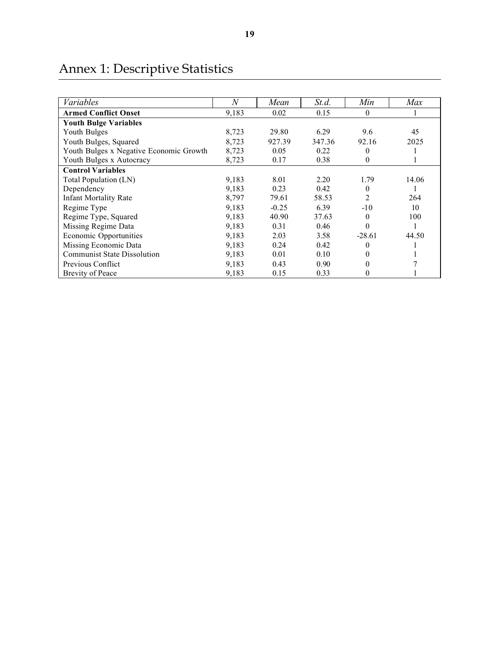| Variables                               | N     | Mean    | St.d.  | Min            | Max   |
|-----------------------------------------|-------|---------|--------|----------------|-------|
| <b>Armed Conflict Onset</b>             | 9,183 | 0.02    | 0.15   | $\theta$       |       |
| <b>Youth Bulge Variables</b>            |       |         |        |                |       |
| Youth Bulges                            | 8,723 | 29.80   | 6.29   | 9.6            | 45    |
| Youth Bulges, Squared                   | 8,723 | 927.39  | 347.36 | 92.16          | 2025  |
| Youth Bulges x Negative Economic Growth | 8,723 | 0.05    | 0.22   | $\theta$       |       |
| Youth Bulges x Autocracy                | 8,723 | 0.17    | 0.38   | $\theta$       |       |
| <b>Control Variables</b>                |       |         |        |                |       |
| Total Population (LN)                   | 9,183 | 8.01    | 2.20   | 1.79           | 14.06 |
| Dependency                              | 9,183 | 0.23    | 0.42   | $\theta$       |       |
| <b>Infant Mortality Rate</b>            | 8,797 | 79.61   | 58.53  | $\overline{2}$ | 264   |
| Regime Type                             | 9,183 | $-0.25$ | 6.39   | $-10$          | 10    |
| Regime Type, Squared                    | 9,183 | 40.90   | 37.63  | $\theta$       | 100   |
| Missing Regime Data                     | 9,183 | 0.31    | 0.46   | $\theta$       |       |
| Economic Opportunities                  | 9,183 | 2.03    | 3.58   | $-28.61$       | 44.50 |
| Missing Economic Data                   | 9,183 | 0.24    | 0.42   | $\theta$       |       |
| <b>Communist State Dissolution</b>      | 9,183 | 0.01    | 0.10   | 0              |       |
| Previous Conflict                       | 9,183 | 0.43    | 0.90   | 0              |       |
| <b>Brevity of Peace</b>                 | 9,183 | 0.15    | 0.33   | 0              |       |

## Annex 1: Descriptive Statistics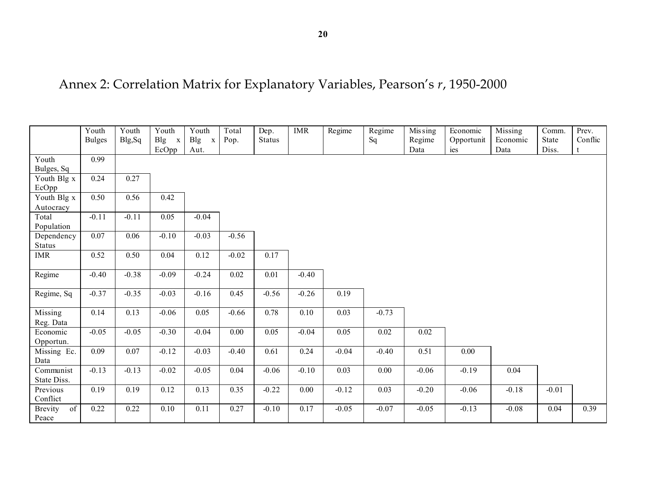|                      | Youth         | Youth   | Youth             | Youth                      | Total   | Dep.          | <b>IMR</b>        | Regime  | Regime   | Mis sing | Economic   | Missing  | Comm.   | Prev.   |
|----------------------|---------------|---------|-------------------|----------------------------|---------|---------------|-------------------|---------|----------|----------|------------|----------|---------|---------|
|                      | <b>Bulges</b> | Blg, Sq | $Big$ x           | <b>Blg</b><br>$\mathbf{x}$ | Pop.    | <b>Status</b> |                   |         | Sq       | Regime   | Opportunit | Economic | State   | Conflic |
|                      |               |         | EcOpp             | Aut.                       |         |               |                   |         |          | Data     | ies        | Data     | Diss.   |         |
| Youth                | 0.99          |         |                   |                            |         |               |                   |         |          |          |            |          |         |         |
| Bulges, Sq           |               |         |                   |                            |         |               |                   |         |          |          |            |          |         |         |
| Youth Blg x          | 0.24          | 0.27    |                   |                            |         |               |                   |         |          |          |            |          |         |         |
| EcOpp                |               |         |                   |                            |         |               |                   |         |          |          |            |          |         |         |
| Youth Blg x          | 0.50          | 0.56    | 0.42              |                            |         |               |                   |         |          |          |            |          |         |         |
| Autocracy            |               |         |                   |                            |         |               |                   |         |          |          |            |          |         |         |
| Total                | $-0.11$       | $-0.11$ | $\overline{0.05}$ | $-0.04$                    |         |               |                   |         |          |          |            |          |         |         |
| Population           |               |         |                   |                            |         |               |                   |         |          |          |            |          |         |         |
| Dependency           | 0.07          | 0.06    | $-0.10$           | $-0.03$                    | $-0.56$ |               |                   |         |          |          |            |          |         |         |
| <b>Status</b>        |               |         |                   |                            |         |               |                   |         |          |          |            |          |         |         |
| <b>IMR</b>           | 0.52          | 0.50    | 0.04              | 0.12                       | $-0.02$ | 0.17          |                   |         |          |          |            |          |         |         |
|                      |               |         |                   |                            |         |               |                   |         |          |          |            |          |         |         |
| Regime               | $-0.40$       | $-0.38$ | $-0.09$           | $-0.24$                    | 0.02    | 0.01          | $-0.40$           |         |          |          |            |          |         |         |
|                      |               |         |                   |                            |         |               |                   |         |          |          |            |          |         |         |
| Regime, Sq           | $-0.37$       | $-0.35$ | $-0.03$           | $-0.16$                    | 0.45    | $-0.56$       | $-0.26$           | 0.19    |          |          |            |          |         |         |
|                      |               |         |                   |                            |         |               |                   |         |          |          |            |          |         |         |
| Missing              | 0.14          | 0.13    | $-0.06$           | 0.05                       | $-0.66$ | 0.78          | $\overline{0.10}$ | 0.03    | $-0.73$  |          |            |          |         |         |
| Reg. Data            |               |         |                   |                            |         |               |                   |         |          |          |            |          |         |         |
| Economic             | $-0.05$       | $-0.05$ | $-0.30$           | $-0.04$                    | 0.00    | 0.05          | $-0.04$           | 0.05    | $0.02\,$ | 0.02     |            |          |         |         |
| Opportun.            |               |         |                   |                            |         |               |                   |         |          |          |            |          |         |         |
| Missing Ec.          | 0.09          | 0.07    | $-0.12$           | $-0.03$                    | $-0.40$ | 0.61          | 0.24              | $-0.04$ | $-0.40$  | 0.51     | $0.00\,$   |          |         |         |
| Data                 |               |         |                   |                            |         |               |                   |         |          |          |            |          |         |         |
| Communist            | $-0.13$       | $-0.13$ | $-0.02$           | $-0.05$                    | 0.04    | $-0.06$       | $-0.10$           | 0.03    | 0.00     | $-0.06$  | $-0.19$    | 0.04     |         |         |
| State Diss.          |               |         |                   |                            |         |               |                   |         |          |          |            |          |         |         |
| Previous             | 0.19          | 0.19    | 0.12              | 0.13                       | 0.35    | $-0.22$       | 0.00              | $-0.12$ | 0.03     | $-0.20$  | $-0.06$    | $-0.18$  | $-0.01$ |         |
| Conflict             |               |         |                   |                            |         |               |                   |         |          |          |            |          |         |         |
| of<br><b>Brevity</b> | 0.22          | 0.22    | 0.10              | 0.11                       | 0.27    | $-0.10$       | 0.17              | $-0.05$ | $-0.07$  | $-0.05$  | $-0.13$    | $-0.08$  | 0.04    | 0.39    |
| Peace                |               |         |                   |                            |         |               |                   |         |          |          |            |          |         |         |

## Annex 2: Correlation Matrix for Explanatory Variables, Pearson's *r*, 1950-2000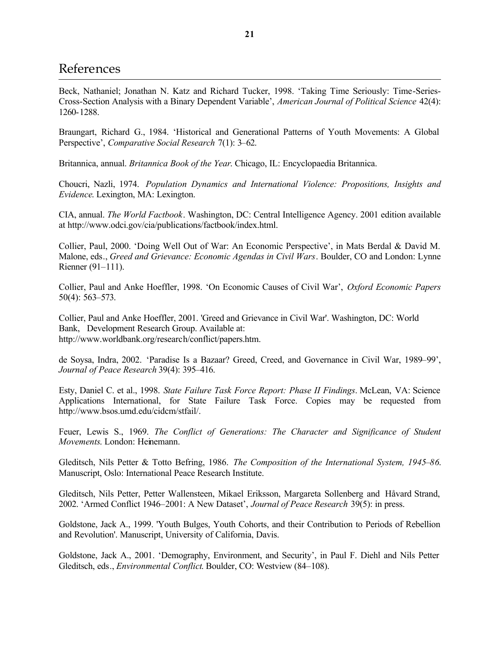### References

Beck, Nathaniel; Jonathan N. Katz and Richard Tucker, 1998. 'Taking Time Seriously: Time-Series-Cross-Section Analysis with a Binary Dependent Variable', *American Journal of Political Science* 42(4): 1260-1288.

Braungart, Richard G., 1984. 'Historical and Generational Patterns of Youth Movements: A Global Perspective', *Comparative Social Research* 7(1): 3–62.

Britannica, annual. *Britannica Book of the Year*. Chicago, IL: Encyclopaedia Britannica.

Choucri, Nazli, 1974. *Population Dynamics and International Violence: Propositions, Insights and Evidence*. Lexington, MA: Lexington.

CIA, annual. *The World Factbook*. Washington, DC: Central Intelligence Agency. 2001 edition available at http://www.odci.gov/cia/publications/factbook/index.html.

Collier, Paul, 2000. 'Doing Well Out of War: An Economic Perspective', in Mats Berdal & David M. Malone, eds., *Greed and Grievance: Economic Agendas in Civil Wars*. Boulder, CO and London: Lynne Rienner (91–111).

Collier, Paul and Anke Hoeffler, 1998. 'On Economic Causes of Civil War', *Oxford Economic Papers* 50(4): 563–573.

Collier, Paul and Anke Hoeffler, 2001. 'Greed and Grievance in Civil War'. Washington, DC: World Bank, Development Research Group. Available at: http://www.worldbank.org/research/conflict/papers.htm.

de Soysa, Indra, 2002. 'Paradise Is a Bazaar? Greed, Creed, and Governance in Civil War, 1989–99', *Journal of Peace Research* 39(4): 395–416.

Esty, Daniel C. et al., 1998. *State Failure Task Force Report: Phase II Findings*. McLean, VA: Science Applications International, for State Failure Task Force. Copies may be requested from http://www.bsos.umd.edu/cidcm/stfail/.

Feuer, Lewis S., 1969. *The Conflict of Generations: The Character and Significance of Student Movements*. London: Heinemann.

Gleditsch, Nils Petter & Totto Befring, 1986. *The Composition of the International System, 1945–86*. Manuscript, Oslo: International Peace Research Institute.

Gleditsch, Nils Petter, Petter Wallensteen, Mikael Eriksson, Margareta Sollenberg and Håvard Strand, 2002. 'Armed Conflict 1946–2001: A New Dataset', *Journal of Peace Research* 39(5): in press.

Goldstone, Jack A., 1999. 'Youth Bulges, Youth Cohorts, and their Contribution to Periods of Rebellion and Revolution'. Manuscript, University of California, Davis.

Goldstone, Jack A., 2001. 'Demography, Environment, and Security', in Paul F. Diehl and Nils Petter Gleditsch, eds., *Environmental Conflict*. Boulder, CO: Westview (84–108).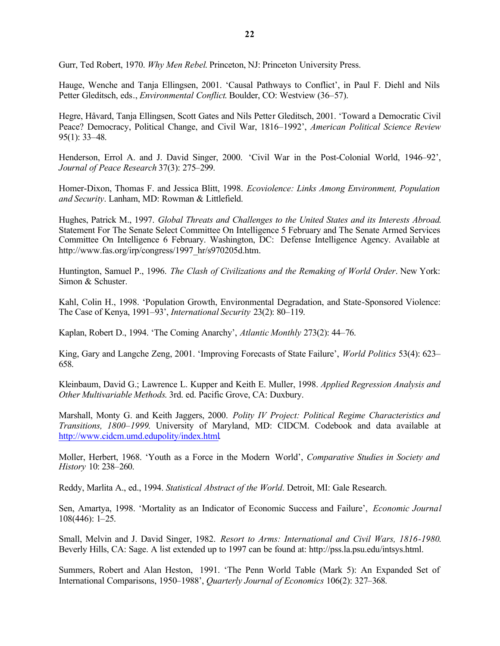Gurr, Ted Robert, 1970. *Why Men Rebel*. Princeton, NJ: Princeton University Press.

Hauge, Wenche and Tanja Ellingsen, 2001. 'Causal Pathways to Conflict', in Paul F. Diehl and Nils Petter Gleditsch, eds., *Environmental Conflict*. Boulder, CO: Westview (36–57).

Hegre, Håvard, Tanja Ellingsen, Scott Gates and Nils Petter Gleditsch, 2001. 'Toward a Democratic Civil Peace? Democracy, Political Change, and Civil War, 1816–1992', *American Political Science Review* 95(1): 33–48.

Henderson, Errol A. and J. David Singer, 2000. 'Civil War in the Post-Colonial World, 1946–92', *Journal of Peace Research* 37(3): 275–299.

Homer-Dixon, Thomas F. and Jessica Blitt, 1998. *Ecoviolence: Links Among Environment, Population and Security*. Lanham, MD: Rowman & Littlefield.

Hughes, Patrick M., 1997. *Global Threats and Challenges to the United States and its Interests Abroad*. Statement For The Senate Select Committee On Intelligence 5 February and The Senate Armed Services Committee On Intelligence 6 February. Washington, DC: Defense Intelligence Agency. Available at http://www.fas.org/irp/congress/1997\_hr/s970205d.htm.

Huntington, Samuel P., 1996. *The Clash of Civilizations and the Remaking of World Order*. New York: Simon & Schuster.

Kahl, Colin H., 1998. 'Population Growth, Environmental Degradation, and State-Sponsored Violence: The Case of Kenya, 1991–93', *International Security* 23(2): 80–119.

Kaplan, Robert D., 1994. 'The Coming Anarchy', *Atlantic Monthly* 273(2): 44–76.

King, Gary and Langche Zeng, 2001. 'Improving Forecasts of State Failure', *World Politics* 53(4): 623– 658.

Kleinbaum, David G.; Lawrence L. Kupper and Keith E. Muller, 1998. *Applied Regression Analysis and Other Multivariable Methods*. 3rd. ed. Pacific Grove, CA: Duxbury.

Marshall, Monty G. and Keith Jaggers, 2000. *Polity IV Project: Political Regime Characteristics and Transitions, 1800–1999*. University of Maryland, MD: CIDCM. Codebook and data available at http://www.cidcm.umd.edupolity/index.html.

Moller, Herbert, 1968. 'Youth as a Force in the Modern World', *Comparative Studies in Society and History* 10: 238–260.

Reddy, Marlita A., ed., 1994. *Statistical Abstract of the World*. Detroit, MI: Gale Research.

Sen, Amartya, 1998. 'Mortality as an Indicator of Economic Success and Failure', *Economic Journal* 108(446): 1–25.

Small, Melvin and J. David Singer, 1982. *Resort to Arms: International and Civil Wars, 1816-1980*. Beverly Hills, CA: Sage. A list extended up to 1997 can be found at: http://pss.la.psu.edu/intsys.html.

Summers, Robert and Alan Heston, 1991. 'The Penn World Table (Mark 5): An Expanded Set of International Comparisons, 1950–1988', *Quarterly Journal of Economics* 106(2): 327–368.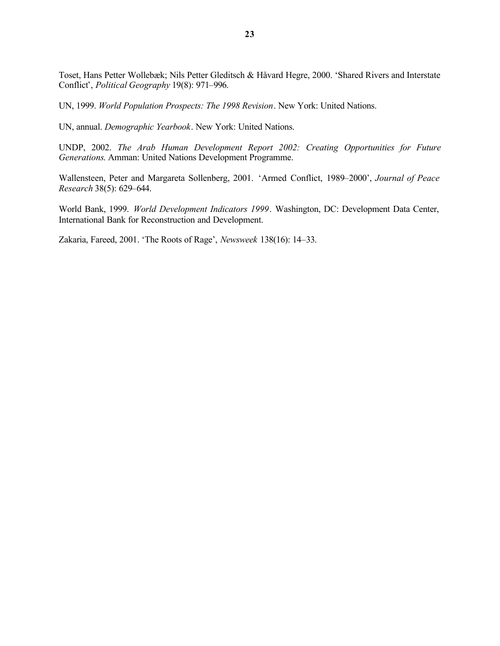Toset, Hans Petter Wollebæk; Nils Petter Gleditsch & Håvard Hegre, 2000. 'Shared Rivers and Interstate Conflict', *Political Geography* 19(8): 971–996.

UN, 1999. *World Population Prospects: The 1998 Revision*. New York: United Nations.

UN, annual. *Demographic Yearbook*. New York: United Nations.

UNDP, 2002. *The Arab Human Development Report 2002: Creating Opportunities for Future Generations*. Amman: United Nations Development Programme.

Wallensteen, Peter and Margareta Sollenberg, 2001. 'Armed Conflict, 1989–2000', *Journal of Peace Research* 38(5): 629–644.

World Bank, 1999. *World Development Indicators 1999*. Washington, DC: Development Data Center, International Bank for Reconstruction and Development.

Zakaria, Fareed, 2001. 'The Roots of Rage', *Newsweek* 138(16): 14–33.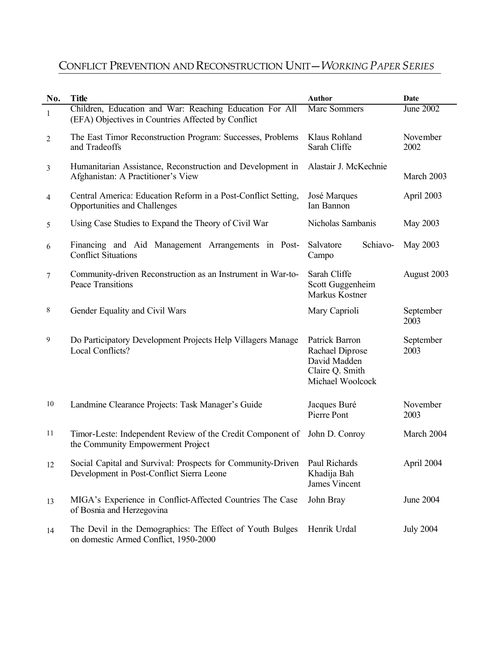## CONFLICT PREVENTION AND RECONSTRUCTION UNIT—*WORKING PAPER SERIES*

| No.            | <b>Title</b>                                                                                                  | <b>Author</b>                                                                            | <b>Date</b>       |  |
|----------------|---------------------------------------------------------------------------------------------------------------|------------------------------------------------------------------------------------------|-------------------|--|
| $\mathbf{1}$   | Children, Education and War: Reaching Education For All<br>(EFA) Objectives in Countries Affected by Conflict | <b>Marc Sommers</b>                                                                      | June 2002         |  |
| $\overline{c}$ | The East Timor Reconstruction Program: Successes, Problems<br>and Tradeoffs                                   | Klaus Rohland<br>Sarah Cliffe                                                            | November<br>2002  |  |
| 3              | Humanitarian Assistance, Reconstruction and Development in<br>Afghanistan: A Practitioner's View              | Alastair J. McKechnie                                                                    | March 2003        |  |
| 4              | Central America: Education Reform in a Post-Conflict Setting,<br>Opportunities and Challenges                 | José Marques<br>Ian Bannon                                                               | April 2003        |  |
| 5              | Using Case Studies to Expand the Theory of Civil War                                                          | Nicholas Sambanis                                                                        | May 2003          |  |
| 6              | Financing and Aid Management Arrangements in Post-<br><b>Conflict Situations</b>                              | Salvatore<br>Schiavo-<br>Campo                                                           | May 2003          |  |
| 7              | Community-driven Reconstruction as an Instrument in War-to-<br>Peace Transitions                              | Sarah Cliffe<br>Scott Guggenheim<br>Markus Kostner                                       | August 2003       |  |
| 8              | Gender Equality and Civil Wars                                                                                | Mary Caprioli                                                                            | September<br>2003 |  |
| 9              | Do Participatory Development Projects Help Villagers Manage<br>Local Conflicts?                               | Patrick Barron<br>Rachael Diprose<br>David Madden<br>Claire Q. Smith<br>Michael Woolcock | September<br>2003 |  |
| 10             | Landmine Clearance Projects: Task Manager's Guide                                                             | Jacques Buré<br>Pierre Pont                                                              | November<br>2003  |  |
| 11             | Timor-Leste: Independent Review of the Credit Component of<br>the Community Empowerment Project               | John D. Conroy                                                                           | March 2004        |  |
| 12             | Social Capital and Survival: Prospects for Community-Driven<br>Development in Post-Conflict Sierra Leone      | Paul Richards<br>Khadija Bah<br><b>James Vincent</b>                                     | April 2004        |  |
| 13             | MIGA's Experience in Conflict-Affected Countries The Case<br>of Bosnia and Herzegovina                        | John Bray                                                                                | June 2004         |  |
| 14             | The Devil in the Demographics: The Effect of Youth Bulges<br>on domestic Armed Conflict, 1950-2000            | Henrik Urdal                                                                             | <b>July 2004</b>  |  |